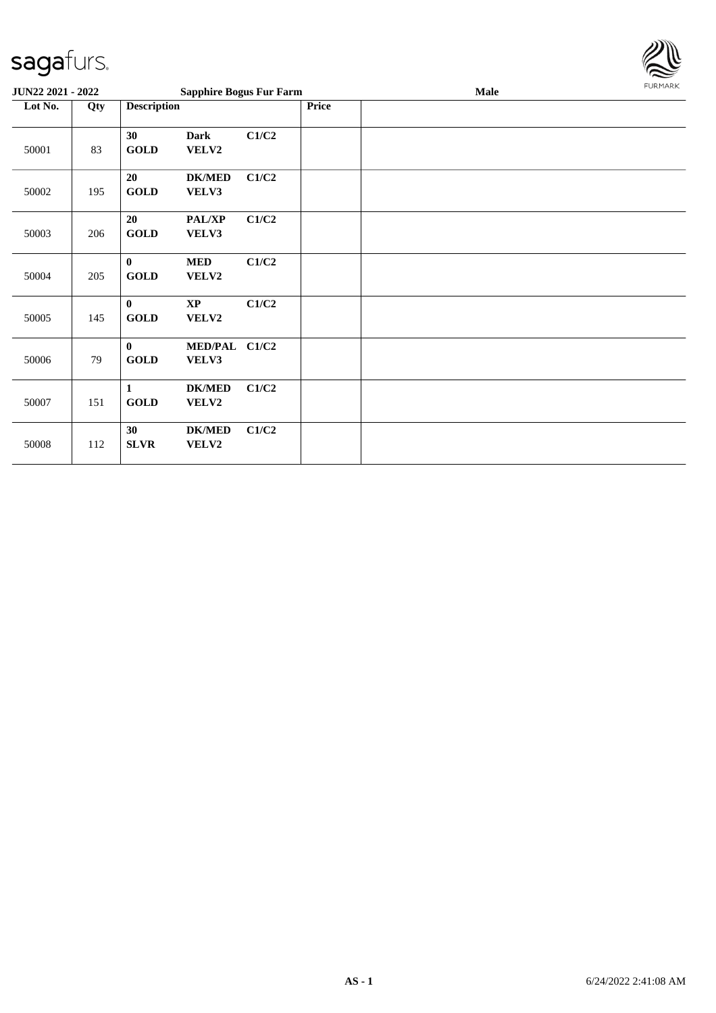

| JUN22 2021 - 2022 |     |                             | <b>Sapphire Bogus Fur Farm</b>  |       |  | <b>Male</b> | <b>FURMARK</b> |
|-------------------|-----|-----------------------------|---------------------------------|-------|--|-------------|----------------|
| Lot No.           | Qty |                             | <b>Description</b>              |       |  |             |                |
| 50001             | 83  | 30<br><b>GOLD</b>           | <b>Dark</b><br>VELV2            | C1/C2 |  |             |                |
| 50002             | 195 | 20<br><b>GOLD</b>           | <b>DK/MED</b><br>VELV3          | C1/C2 |  |             |                |
| 50003             | 206 | 20<br><b>GOLD</b>           | <b>PAL/XP</b><br>VELV3          | C1/C2 |  |             |                |
| 50004             | 205 | $\bf{0}$<br><b>GOLD</b>     | <b>MED</b><br>VELV2             | C1/C2 |  |             |                |
| 50005             | 145 | $\bf{0}$<br><b>GOLD</b>     | $\mathbf{X}\mathbf{P}$<br>VELV2 | C1/C2 |  |             |                |
| 50006             | 79  | $\mathbf{0}$<br><b>GOLD</b> | MED/PAL C1/C2<br>VELV3          |       |  |             |                |
| 50007             | 151 | $\mathbf{1}$<br><b>GOLD</b> | <b>DK/MED</b><br>VELV2          | C1/C2 |  |             |                |
| 50008             | 112 | 30<br><b>SLVR</b>           | <b>DK/MED</b><br>VELV2          | C1/C2 |  |             |                |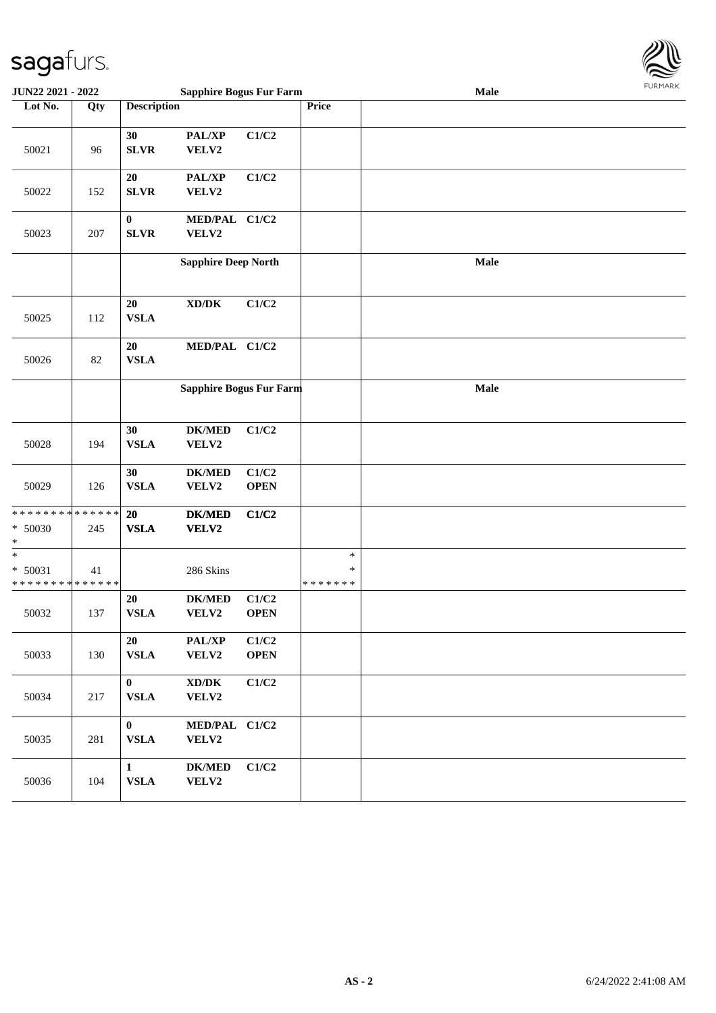

| <b>JUN22 2021 - 2022</b>             |                    |                              | <b>Sapphire Bogus Fur Farm</b>               |                      |                                   | Male | <b>LOKINKV</b> |
|--------------------------------------|--------------------|------------------------------|----------------------------------------------|----------------------|-----------------------------------|------|----------------|
| Lot No.                              | Qty                | <b>Description</b>           |                                              |                      | Price                             |      |                |
| 50021                                | 96                 | 30<br><b>SLVR</b>            | PAL/XP<br>VELV2                              | C1/C2                |                                   |      |                |
| 50022                                | 152                | $20\,$<br><b>SLVR</b>        | PAL/XP<br>VELV2                              | C1/C2                |                                   |      |                |
| 50023                                | 207                | $\pmb{0}$<br><b>SLVR</b>     | MED/PAL C1/C2<br>VELV2                       |                      |                                   |      |                |
|                                      |                    |                              | <b>Sapphire Deep North</b>                   |                      |                                   | Male |                |
| 50025                                | 112                | 20<br><b>VSLA</b>            | $\mathbf{X}\mathbf{D}/\mathbf{D}\mathbf{K}$  | C1/C2                |                                   |      |                |
| 50026                                | 82                 | 20<br><b>VSLA</b>            | MED/PAL C1/C2                                |                      |                                   |      |                |
|                                      |                    |                              | Sapphire Bogus Fur Farm                      |                      |                                   | Male |                |
| 50028                                | 194                | 30<br><b>VSLA</b>            | <b>DK/MED</b><br>VELV2                       | C1/C2                |                                   |      |                |
| 50029                                | 126                | 30<br><b>VSLA</b>            | <b>DK/MED</b><br>VELV2                       | C1/C2<br><b>OPEN</b> |                                   |      |                |
| * * * * * * * *<br>* 50030<br>$\ast$ | * * * * * *<br>245 | <b>20</b><br><b>VSLA</b>     | <b>DK/MED</b><br>VELV2                       | C1/C2                |                                   |      |                |
| $\ast$<br>* 50031<br>* * * * * * * * | 41<br>* * * * * *  |                              | 286 Skins                                    |                      | $\ast$<br>$\ast$<br>* * * * * * * |      |                |
| 50032                                | 137                | 20<br><b>VSLA</b>            | <b>DK/MED</b><br>VELV2                       | C1/C2<br><b>OPEN</b> |                                   |      |                |
| 50033                                | 130                | 20<br><b>VSLA</b>            | PAL/XP<br>VELV2                              | C1/C2<br><b>OPEN</b> |                                   |      |                |
| 50034                                | 217                | $\mathbf{0}$<br><b>VSLA</b>  | $\bold{X}\bold{D}/\bold{D}\bold{K}$<br>VELV2 | C1/C2                |                                   |      |                |
| 50035                                | 281                | $\mathbf{0}$<br><b>VSLA</b>  | MED/PAL C1/C2<br>VELV2                       |                      |                                   |      |                |
| 50036                                | 104                | $\mathbf{1}$<br>${\bf VSLA}$ | <b>DK/MED</b><br>VELV2                       | C1/C2                |                                   |      |                |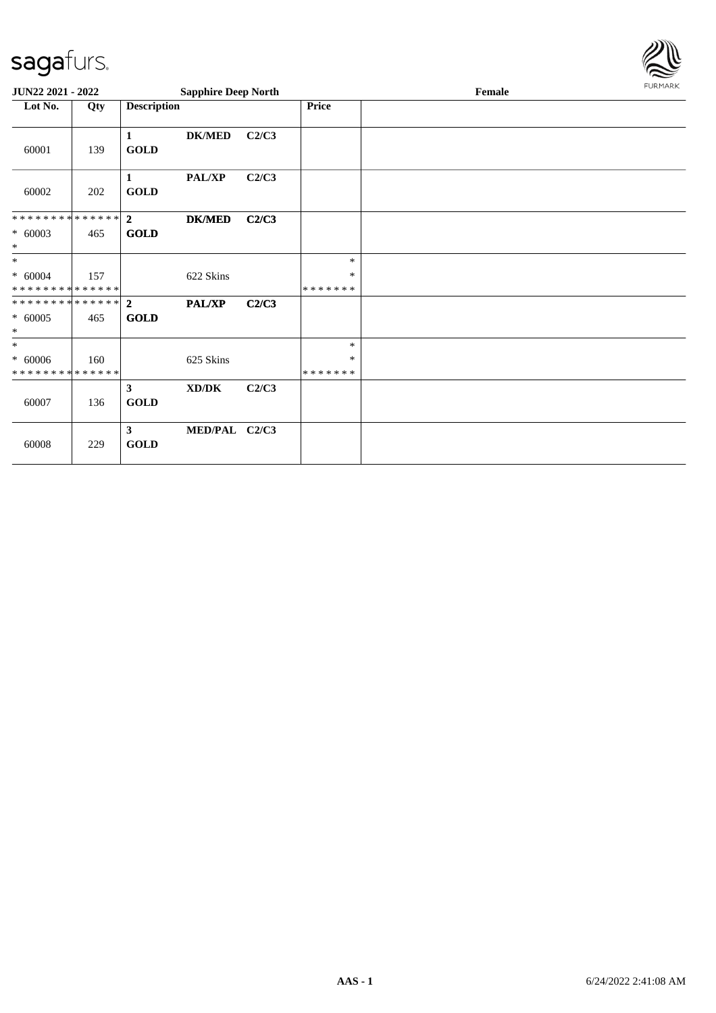

| JUN22 2021 - 2022                                    |     |                               | <b>Sapphire Deep North</b> |       |                              | FURMARK |  |
|------------------------------------------------------|-----|-------------------------------|----------------------------|-------|------------------------------|---------|--|
| Lot No.                                              | Qty | <b>Description</b>            |                            |       | <b>Price</b>                 |         |  |
| 60001                                                | 139 | $\mathbf{1}$<br><b>GOLD</b>   | <b>DK/MED</b>              | C2/C3 |                              |         |  |
| 60002                                                | 202 | $\mathbf{1}$<br><b>GOLD</b>   | <b>PAL/XP</b>              | C2/C3 |                              |         |  |
| * * * * * * * * * * * * * * *<br>$* 60003$<br>$\ast$ | 465 | $\overline{2}$<br><b>GOLD</b> | <b>DK/MED</b>              | C2/C3 |                              |         |  |
| $*$<br>$* 60004$<br>* * * * * * * * * * * * * *      | 157 |                               | 622 Skins                  |       | $\ast$<br>∗<br>* * * * * * * |         |  |
| $* 60005$<br>$\ast$                                  | 465 | <b>GOLD</b>                   | PAL/XP                     | C2/C3 |                              |         |  |
| $\ast$<br>$* 60006$<br>* * * * * * * * * * * * * *   | 160 |                               | 625 Skins                  |       | $\ast$<br>$\ast$<br>*******  |         |  |
| 60007                                                | 136 | 3 <sup>1</sup><br><b>GOLD</b> | XD/DK                      | C2/C3 |                              |         |  |
| 60008                                                | 229 | $\mathbf{3}$<br><b>GOLD</b>   | MED/PAL C2/C3              |       |                              |         |  |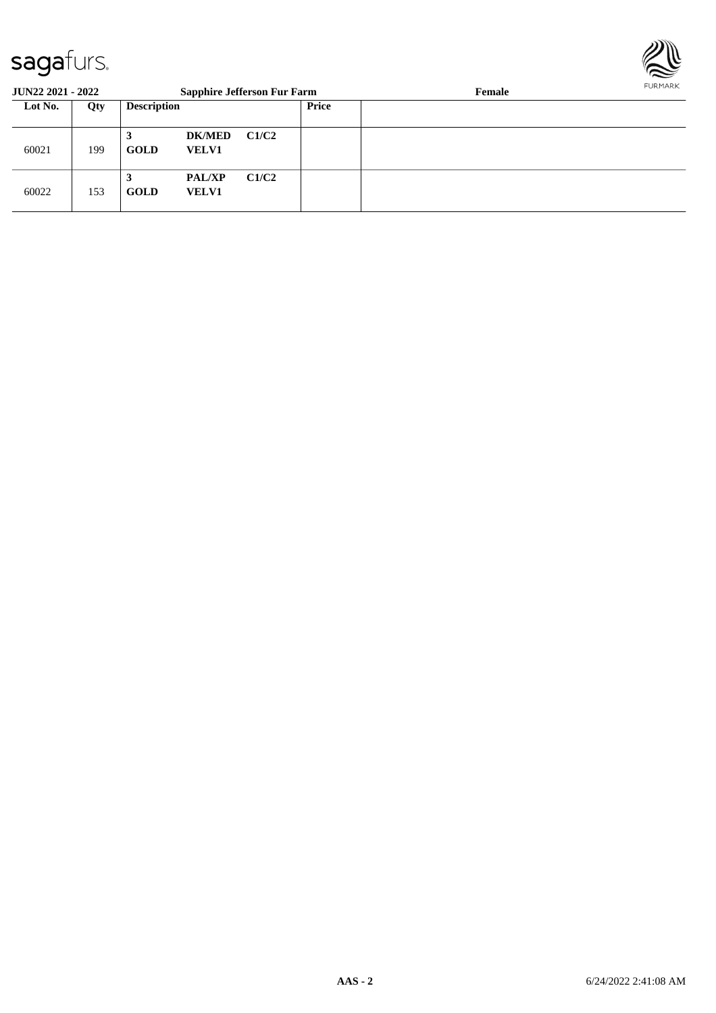

| <b>JUN22 2021 - 2022</b> |     |                    | <b>Sapphire Jefferson Fur Farm</b> |       |       | Female | FURMARR |
|--------------------------|-----|--------------------|------------------------------------|-------|-------|--------|---------|
| Lot No.                  | Qty | <b>Description</b> |                                    |       | Price |        |         |
| 60021                    | 199 | 3<br><b>GOLD</b>   | <b>DK/MED</b><br><b>VELV1</b>      | C1/C2 |       |        |         |
| 60022                    | 153 | 3<br><b>GOLD</b>   | <b>PAL/XP</b><br><b>VELV1</b>      | C1/C2 |       |        |         |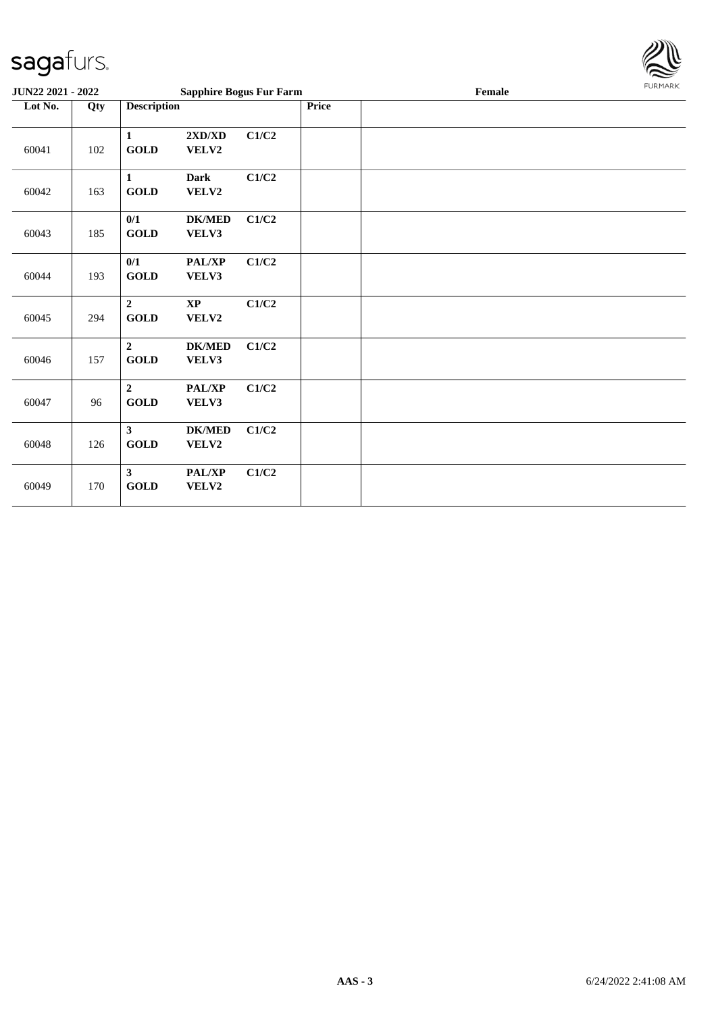

| <b>JUN22 2021 - 2022</b> |     |                                         | <b>Sapphire Bogus Fur Farm</b> |       |              | Female | <b>FURMARK</b> |
|--------------------------|-----|-----------------------------------------|--------------------------------|-------|--------------|--------|----------------|
| Lot No.                  | Qty | <b>Description</b>                      |                                |       | <b>Price</b> |        |                |
| 60041                    | 102 | $\mathbf{1}$<br>GOLD                    | 2XD/XD<br>VELV2                | C1/C2 |              |        |                |
| 60042                    | 163 | $\mathbf{1}$<br>GOLD                    | <b>Dark</b><br>VELV2           | C1/C2 |              |        |                |
| 60043                    | 185 | 0/1<br>GOLD                             | <b>DK/MED</b><br>VELV3         | C1/C2 |              |        |                |
| 60044                    | 193 | 0/1<br>GOLD                             | PAL/XP<br>VELV3                | C1/C2 |              |        |                |
| 60045                    | 294 | $\overline{2}$<br>$\operatorname{GOLD}$ | <b>XP</b><br>VELV2             | C1/C2 |              |        |                |
| 60046                    | 157 | $\overline{2}$<br><b>GOLD</b>           | <b>DK/MED</b><br>VELV3         | C1/C2 |              |        |                |
| 60047                    | 96  | $\overline{2}$<br><b>GOLD</b>           | PAL/XP<br>VELV3                | C1/C2 |              |        |                |
| 60048                    | 126 | $\mathbf{3}$<br><b>GOLD</b>             | <b>DK/MED</b><br>VELV2         | C1/C2 |              |        |                |
| 60049                    | 170 | $\mathbf{3}$<br><b>GOLD</b>             | PAL/XP<br>VELV2                | C1/C2 |              |        |                |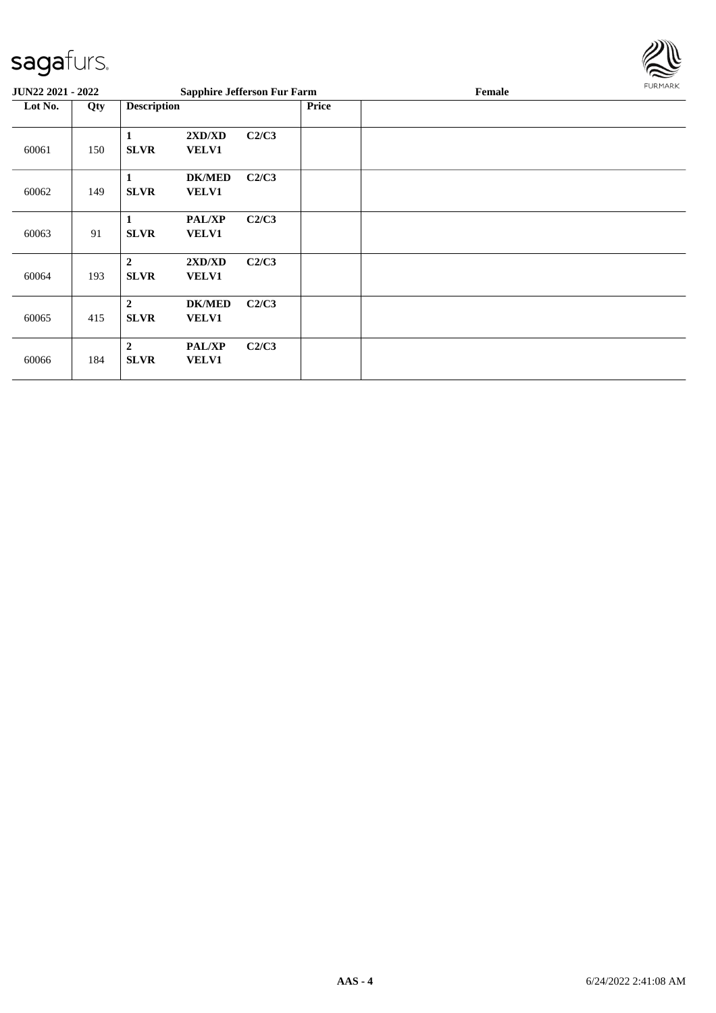

| <b>JUN22 2021 - 2022</b> |     |                                                                  | <b>Sapphire Jefferson Fur Farm</b> |              | Female | <b>FURMARK</b> |
|--------------------------|-----|------------------------------------------------------------------|------------------------------------|--------------|--------|----------------|
| Lot No.                  | Qty | <b>Description</b>                                               |                                    | <b>Price</b> |        |                |
| 60061                    | 150 | 2XD/XD<br>1<br><b>SLVR</b><br><b>VELV1</b>                       | C2/C3                              |              |        |                |
| 60062                    | 149 | <b>DK/MED</b><br>1<br><b>SLVR</b><br><b>VELV1</b>                | C2/C3                              |              |        |                |
| 60063                    | 91  | <b>PAL/XP</b><br>1<br><b>SLVR</b><br><b>VELV1</b>                | C2/C3                              |              |        |                |
| 60064                    | 193 | 2XD/XD<br>$\mathbf{2}$<br><b>SLVR</b><br><b>VELV1</b>            | C2/C3                              |              |        |                |
| 60065                    | 415 | $\boldsymbol{2}$<br><b>DK/MED</b><br><b>VELV1</b><br><b>SLVR</b> | C2/C3                              |              |        |                |
| 60066                    | 184 | $\mathbf{2}$<br><b>PAL/XP</b><br><b>SLVR</b><br><b>VELV1</b>     | C2/C3                              |              |        |                |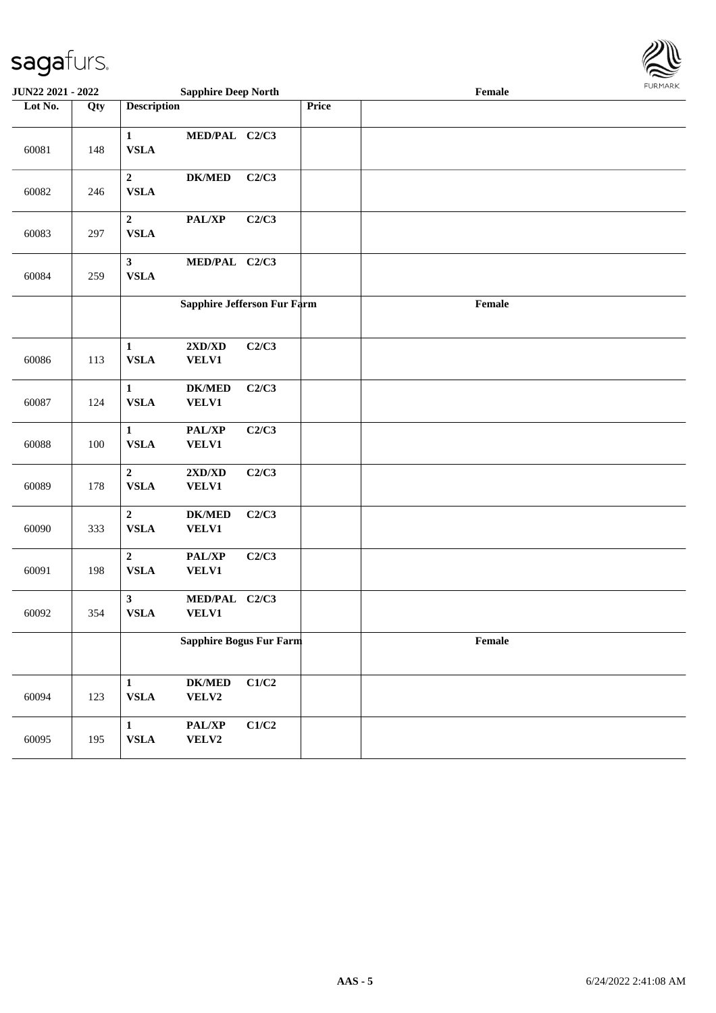

| <b>JUN22 2021 - 2022</b> |     |                                | <b>Sapphire Deep North</b>                       |                             |       | $\ensuremath{\textnormal{\textbf{Female}}}$ | <b>FUNITANN</b> |
|--------------------------|-----|--------------------------------|--------------------------------------------------|-----------------------------|-------|---------------------------------------------|-----------------|
| Lot No.                  | Qty | <b>Description</b>             |                                                  |                             | Price |                                             |                 |
| 60081                    | 148 | $\mathbf{1}$<br>${\bf VSLA}$   | MED/PAL C2/C3                                    |                             |       |                                             |                 |
| 60082                    | 246 | $\overline{2}$<br>${\bf VSLA}$ | <b>DK/MED</b>                                    | C2/C3                       |       |                                             |                 |
| 60083                    | 297 | $\mathbf{2}$<br><b>VSLA</b>    | PAL/XP                                           | C2/C3                       |       |                                             |                 |
| 60084                    | 259 | 3 <sup>1</sup><br>${\bf VSLA}$ | MED/PAL C2/C3                                    |                             |       |                                             |                 |
|                          |     |                                |                                                  | Sapphire Jefferson Fur Farm |       | Female                                      |                 |
| 60086                    | 113 | $\mathbf{1}$<br><b>VSLA</b>    | $2{\bf X}{\bf D}/{\bf X}{\bf D}$<br><b>VELV1</b> | C2/C3                       |       |                                             |                 |
| 60087                    | 124 | $\mathbf{1}$<br><b>VSLA</b>    | $DK/MED$<br><b>VELV1</b>                         | C2/C3                       |       |                                             |                 |
| 60088                    | 100 | $\mathbf{1}$<br><b>VSLA</b>    | PAL/XP<br><b>VELV1</b>                           | C2/C3                       |       |                                             |                 |
| 60089                    | 178 | $\overline{2}$<br><b>VSLA</b>  | $2{\bf X}{\bf D}/{\bf X}{\bf D}$<br><b>VELV1</b> | C2/C3                       |       |                                             |                 |
| 60090                    | 333 | $\mathbf{2}$<br>${\bf VSLA}$   | $DK/MED$<br><b>VELV1</b>                         | C2/C3                       |       |                                             |                 |
| 60091                    | 198 | $\overline{2}$<br><b>VSLA</b>  | PAL/XP<br><b>VELV1</b>                           | C2/C3                       |       |                                             |                 |
| 60092                    | 354 | $\mathbf{3}$<br>${\bf VSLA}$   | MED/PAL C2/C3<br>VELV1                           |                             |       |                                             |                 |
|                          |     |                                |                                                  | Sapphire Bogus Fur Farm     |       | Female                                      |                 |
| 60094                    | 123 | $\mathbf{1}$<br>${\bf VSLA}$   | $DK/MED$<br>VELV2                                | C1/C2                       |       |                                             |                 |
| 60095                    | 195 | $\mathbf{1}$<br>${\bf VSLA}$   | PAL/XP<br>VELV2                                  | $\mathbf{C1}/\mathbf{C2}$   |       |                                             |                 |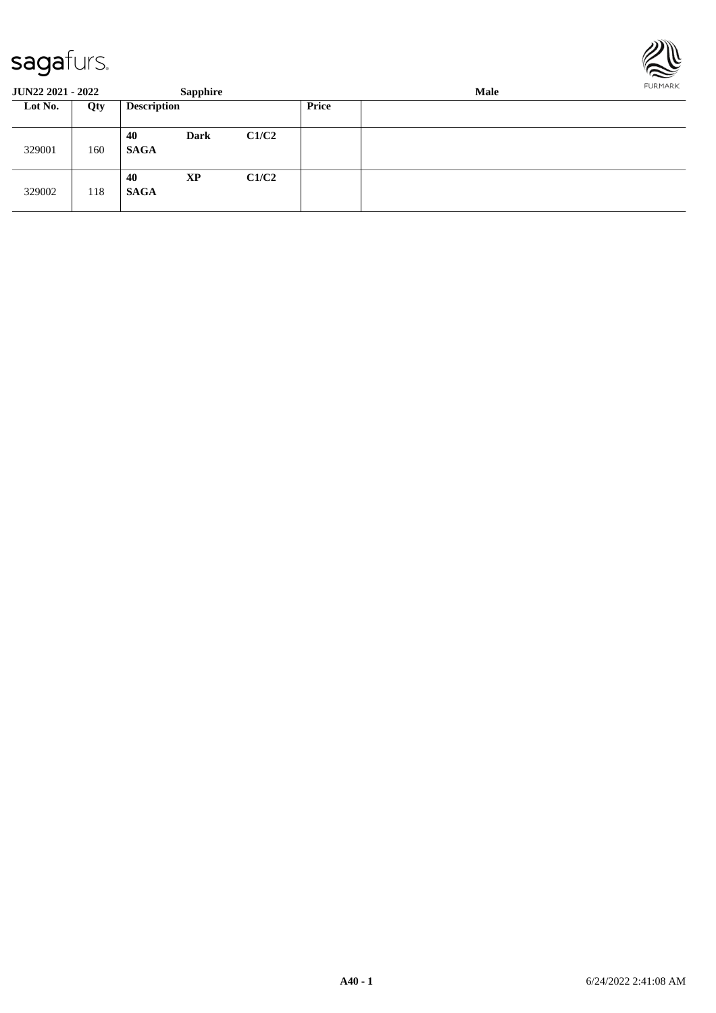

| <b>JUN22 2021 - 2022</b> |     |                    | <b>Sapphire</b> |       | <b>FURPIARR</b><br>Male |  |  |  |  |
|--------------------------|-----|--------------------|-----------------|-------|-------------------------|--|--|--|--|
| Lot No.<br>Qty           |     | <b>Description</b> |                 |       | <b>Price</b>            |  |  |  |  |
| 329001                   | 160 | 40<br><b>SAGA</b>  | <b>Dark</b>     | C1/C2 |                         |  |  |  |  |
| 329002                   | 118 | 40<br><b>SAGA</b>  | <b>XP</b>       | C1/C2 |                         |  |  |  |  |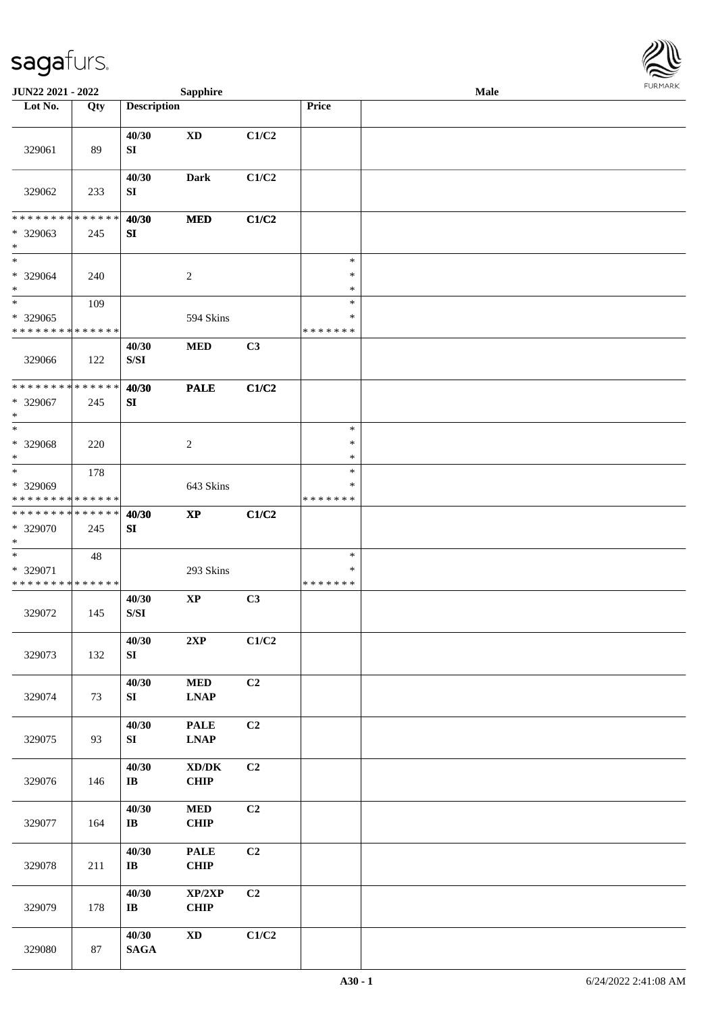

| JUN22 2021 - 2022                                   |                    |                                                                                                 | <b>Sapphire</b>                                    |                |                                   | Male |  |
|-----------------------------------------------------|--------------------|-------------------------------------------------------------------------------------------------|----------------------------------------------------|----------------|-----------------------------------|------|--|
| Lot No.                                             | Qty                | <b>Description</b>                                                                              |                                                    |                | Price                             |      |  |
| 329061                                              | 89                 | 40/30<br>SI                                                                                     | $\mathbf{X}\mathbf{D}$                             | C1/C2          |                                   |      |  |
| 329062                                              | 233                | 40/30<br>SI                                                                                     | <b>Dark</b>                                        | C1/C2          |                                   |      |  |
| * * * * * * * *<br>* 329063<br>$\ast$               | * * * * * *<br>245 | 40/30<br>SI                                                                                     | <b>MED</b>                                         | C1/C2          |                                   |      |  |
| $\ast$<br>$* 329064$<br>$\ast$                      | 240                |                                                                                                 | $\overline{c}$                                     |                | $\ast$<br>$\ast$<br>$\ast$        |      |  |
| $\ast$<br>$* 329065$<br>* * * * * * * * * * * * * * | 109                |                                                                                                 | 594 Skins                                          |                | $\ast$<br>$\ast$<br>* * * * * * * |      |  |
| 329066                                              | 122                | 40/30<br>$\ensuremath{\mathrm{S}}\xspace/\ensuremath{\mathrm{S}}\xspace\ensuremath{\mathrm{I}}$ | $\bf MED$                                          | C3             |                                   |      |  |
| * * * * * * * * * * * * * *<br>* 329067<br>$\ast$   | 245                | 40/30<br>SI                                                                                     | <b>PALE</b>                                        | C1/C2          |                                   |      |  |
| $*$<br>* 329068<br>$\ast$                           | 220                |                                                                                                 | $\overline{c}$                                     |                | $\ast$<br>$\ast$<br>*             |      |  |
| $*$<br>* 329069<br>* * * * * * * * * * * * * *      | 178                |                                                                                                 | 643 Skins                                          |                | $\ast$<br>$\ast$<br>* * * * * * * |      |  |
| * * * * * * * * * * * * * *<br>* 329070<br>$*$      | 245                | 40/30<br>SI                                                                                     | $\mathbf{X}\mathbf{P}$                             | C1/C2          |                                   |      |  |
| $*$<br>* 329071<br>* * * * * * * * * * * * * *      | 48                 |                                                                                                 | 293 Skins                                          |                | $\ast$<br>$\ast$<br>* * * * * * * |      |  |
| 329072                                              | 145                | 40/30<br>S/SI                                                                                   | $\bold{XP}$                                        | C3             |                                   |      |  |
| 329073                                              | 132                | 40/30<br>SI                                                                                     | 2XP                                                | C1/C2          |                                   |      |  |
| 329074                                              | 73                 | 40/30<br>SI                                                                                     | $\bf MED$<br><b>LNAP</b>                           | C <sub>2</sub> |                                   |      |  |
| 329075                                              | 93                 | 40/30<br>SI                                                                                     | <b>PALE</b><br>$\ensuremath{\text{L}N\!AP}\xspace$ | C <sub>2</sub> |                                   |      |  |
| 329076                                              | 146                | 40/30<br>$\bf{IB}$                                                                              | $\bold{X}\bold{D}/\bold{D}\bold{K}$<br>CHIP        | C <sub>2</sub> |                                   |      |  |
| 329077                                              | 164                | 40/30<br>$\bf IB$                                                                               | <b>MED</b><br><b>CHIP</b>                          | C2             |                                   |      |  |
| 329078                                              | 211                | 40/30<br>$\bf I\bf B$                                                                           | <b>PALE</b><br><b>CHIP</b>                         | C2             |                                   |      |  |
| 329079                                              | 178                | 40/30<br>$\bf IB$                                                                               | XP/2XP<br><b>CHIP</b>                              | C <sub>2</sub> |                                   |      |  |
| 329080                                              | 87                 | 40/30<br><b>SAGA</b>                                                                            | $\mathbf{X}\mathbf{D}$                             | C1/C2          |                                   |      |  |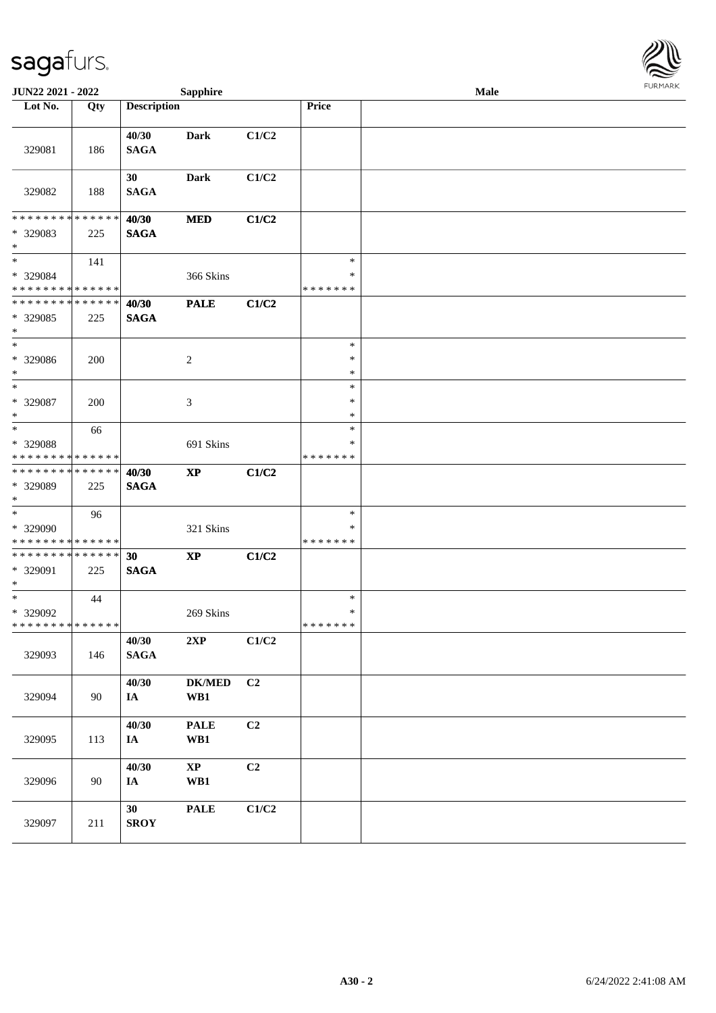

| <b>JUN22 2021 - 2022</b>                                      |     |                      | <b>Sapphire</b>    |                |                                   | <b>Male</b> |  |
|---------------------------------------------------------------|-----|----------------------|--------------------|----------------|-----------------------------------|-------------|--|
| Lot No.                                                       | Qty | <b>Description</b>   |                    |                | Price                             |             |  |
| 329081                                                        | 186 | 40/30<br><b>SAGA</b> | Dark               | C1/C2          |                                   |             |  |
| 329082                                                        | 188 | 30<br><b>SAGA</b>    | Dark               | C1/C2          |                                   |             |  |
| * * * * * * * * * * * * * *<br>* 329083<br>$*$                | 225 | 40/30<br><b>SAGA</b> | <b>MED</b>         | C1/C2          |                                   |             |  |
| $\ast$<br>* 329084<br>* * * * * * * * * * * * * * *           | 141 |                      | 366 Skins          |                | $\ast$<br>$\ast$<br>* * * * * * * |             |  |
| * * * * * * * * * * * * * * *<br>* 329085<br>$\ast$           | 225 | 40/30<br><b>SAGA</b> | <b>PALE</b>        | C1/C2          |                                   |             |  |
| $\ast$<br>* 329086<br>$*$                                     | 200 |                      | 2                  |                | $\ast$<br>$\ast$<br>$\ast$        |             |  |
| $\ast$<br>* 329087<br>$*$                                     | 200 |                      | 3                  |                | $\ast$<br>$\ast$<br>$\ast$        |             |  |
| $*$<br>* 329088<br>* * * * * * * * <mark>* * * * * * *</mark> | 66  |                      | 691 Skins          |                | $\ast$<br>∗<br>* * * * * * *      |             |  |
| * * * * * * * * * * * * * * *<br>* 329089<br>$*$              | 225 | 40/30<br><b>SAGA</b> | $\mathbf{XP}$      | C1/C2          |                                   |             |  |
| $*$<br>* 329090<br>* * * * * * * * * * * * * *                | 96  |                      | 321 Skins          |                | $\ast$<br>∗<br>* * * * * * *      |             |  |
| * * * * * * * * * * * * * * *<br>* 329091<br>$*$              | 225 | 30<br><b>SAGA</b>    | $\bold{XP}$        | C1/C2          |                                   |             |  |
| $\ast$<br>* 329092<br>* * * * * * * * * * * * * * *           | 44  |                      | 269 Skins          |                | $\ast$<br>$\ast$<br>* * * * * * * |             |  |
| 329093                                                        | 146 | 40/30<br><b>SAGA</b> | 2XP                | C1/C2          |                                   |             |  |
| 329094                                                        | 90  | 40/30<br>IA          | $DK/MED$<br>WB1    | C <sub>2</sub> |                                   |             |  |
| 329095                                                        | 113 | 40/30<br>IA          | <b>PALE</b><br>WB1 | C2             |                                   |             |  |
| 329096                                                        | 90  | 40/30<br>IA          | $\bold{XP}$<br>WB1 | C2             |                                   |             |  |
| 329097                                                        | 211 | 30<br><b>SROY</b>    | <b>PALE</b>        | C1/C2          |                                   |             |  |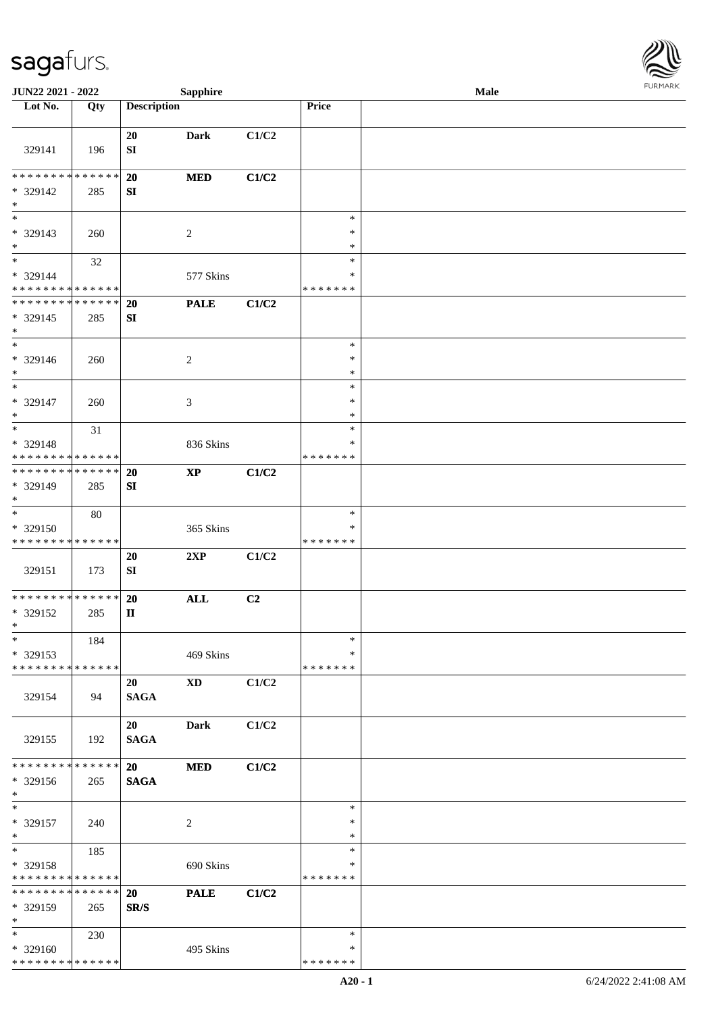

| JUN22 2021 - 2022                                                     |     |                              | <b>Sapphire</b>        |       |                              | Male |  |
|-----------------------------------------------------------------------|-----|------------------------------|------------------------|-------|------------------------------|------|--|
| Lot No.                                                               | Qty | <b>Description</b>           |                        |       | Price                        |      |  |
| 329141                                                                | 196 | 20<br>SI                     | <b>Dark</b>            | C1/C2 |                              |      |  |
| * * * * * * * * * * * * * *<br>* 329142<br>$\ast$                     | 285 | 20<br>SI                     | <b>MED</b>             | C1/C2 |                              |      |  |
| $\overline{\phantom{0}}$<br>* 329143<br>$\ast$                        | 260 |                              | $\overline{c}$         |       | $\ast$<br>$\ast$<br>$\ast$   |      |  |
| $\overline{\phantom{a}^*}$<br>* 329144<br>* * * * * * * * * * * * * * | 32  |                              | 577 Skins              |       | $\ast$<br>*<br>* * * * * * * |      |  |
| **************<br>$* 329145$<br>$\ast$                                | 285 | 20<br>${\bf S}{\bf I}$       | <b>PALE</b>            | C1/C2 |                              |      |  |
| $\ast$<br>* 329146<br>$\ast$                                          | 260 |                              | $\overline{c}$         |       | $\ast$<br>$\ast$<br>$\ast$   |      |  |
| $\ast$<br>* 329147<br>$\ast$                                          | 260 |                              | 3                      |       | $\ast$<br>$\ast$<br>$\ast$   |      |  |
| $\ast$<br>* 329148<br>* * * * * * * * <mark>* * * * * * *</mark>      | 31  |                              | 836 Skins              |       | $\ast$<br>*<br>* * * * * * * |      |  |
| **************<br>* 329149<br>$\ast$                                  | 285 | 20<br>SI                     | $\mathbf{X}\mathbf{P}$ | C1/C2 |                              |      |  |
| $\ast$<br>* 329150<br>* * * * * * * * * * * * * *                     | 80  |                              | 365 Skins              |       | $\ast$<br>*<br>* * * * * * * |      |  |
| 329151                                                                | 173 | 20<br>${\bf SI}$             | 2XP                    | C1/C2 |                              |      |  |
| **************<br>* 329152<br>$*$                                     | 285 | 20<br>$\mathbf{I}\mathbf{I}$ | $\mathbf{ALL}$         | C2    |                              |      |  |
| $\ast$<br>* 329153<br>* * * * * * * * * * * * * *                     | 184 |                              | 469 Skins              |       | $\ast$<br>*<br>* * * * * * * |      |  |
| 329154                                                                | 94  | 20<br><b>SAGA</b>            | <b>XD</b>              | C1/C2 |                              |      |  |
| 329155                                                                | 192 | 20<br><b>SAGA</b>            | <b>Dark</b>            | C1/C2 |                              |      |  |
| * * * * * * * * * * * * * * *<br>* 329156<br>$*$<br>$\ast$            | 265 | 20<br>$\mathbf{SAGA}$        | <b>MED</b>             | C1/C2 | $\ast$                       |      |  |
| * 329157<br>$\ast$                                                    | 240 |                              | $\sqrt{2}$             |       | $\ast$<br>$\ast$             |      |  |
| $\ast$<br>* 329158<br>* * * * * * * * * * * * * *                     | 185 |                              | 690 Skins              |       | $\ast$<br>∗<br>* * * * * * * |      |  |
| * * * * * * * * * * * * * *<br>* 329159<br>$*$                        | 265 | 20<br>SR/S                   | <b>PALE</b>            | C1/C2 |                              |      |  |
| $*$<br>* 329160<br>* * * * * * * * * * * * * *                        | 230 |                              | 495 Skins              |       | $\ast$<br>∗<br>* * * * * * * |      |  |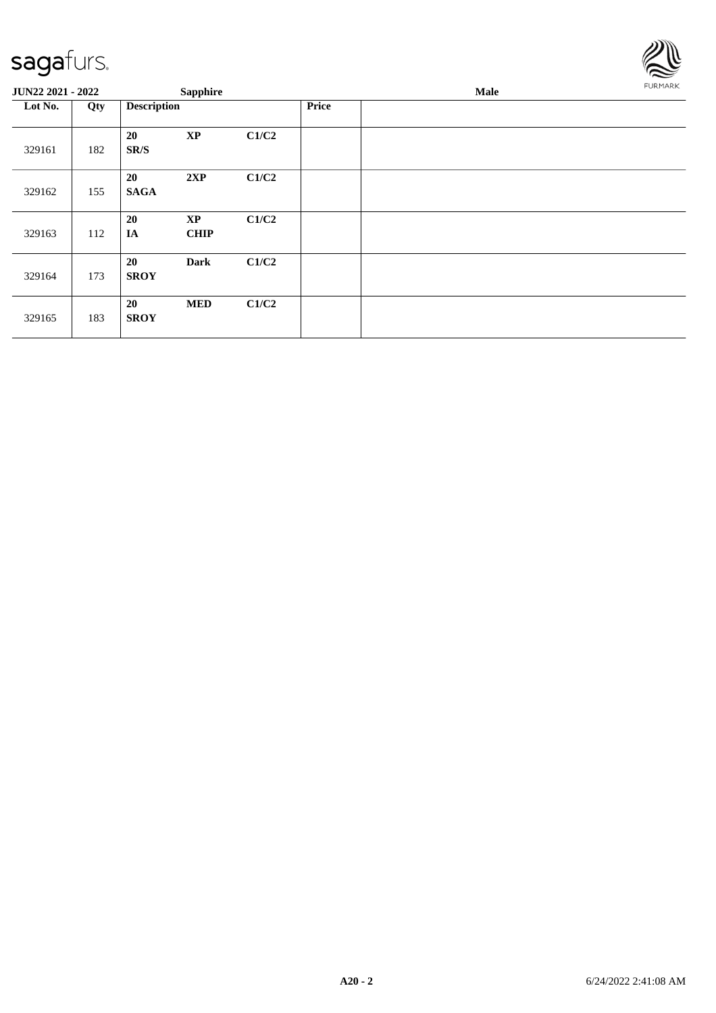

| JUN22 2021 - 2022 |     |                    | <b>Sapphire</b>          |       |              | Male | FURMARK |
|-------------------|-----|--------------------|--------------------------|-------|--------------|------|---------|
| Lot No.           | Qty | <b>Description</b> |                          |       | <b>Price</b> |      |         |
| 329161            | 182 | 20<br>SR/S         | $\mathbf{XP}$            | C1/C2 |              |      |         |
| 329162            | 155 | 20<br><b>SAGA</b>  | 2XP                      | C1/C2 |              |      |         |
| 329163            | 112 | 20<br>IA           | <b>XP</b><br><b>CHIP</b> | C1/C2 |              |      |         |
| 329164            | 173 | 20<br><b>SROY</b>  | <b>Dark</b>              | C1/C2 |              |      |         |
| 329165            | 183 | 20<br><b>SROY</b>  | <b>MED</b>               | C1/C2 |              |      |         |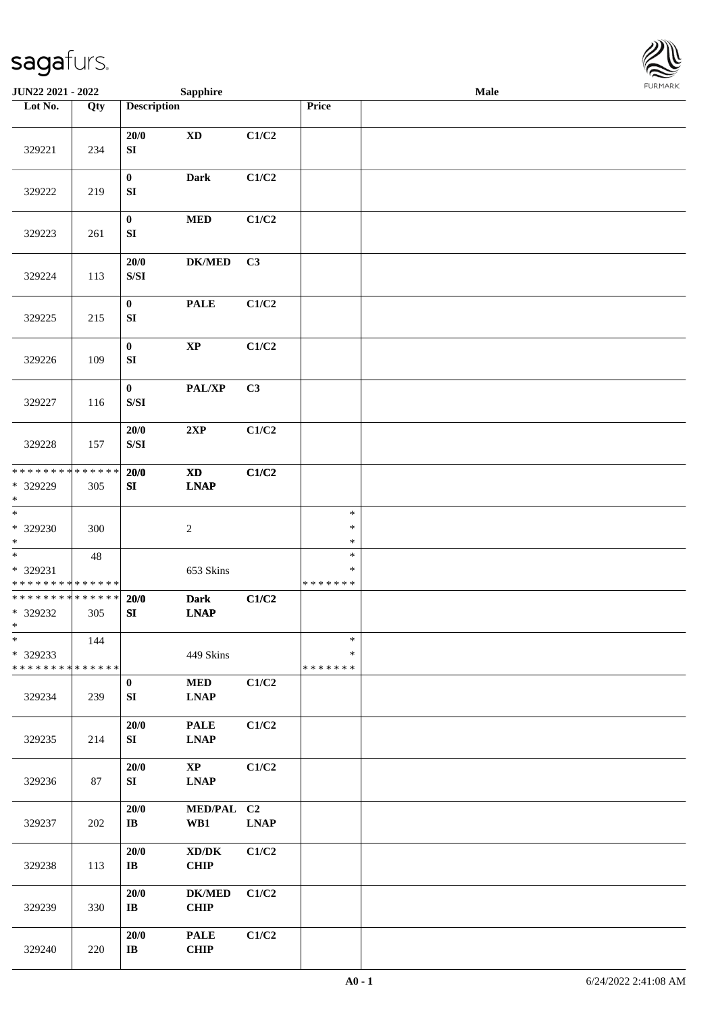

| JUN22 2021 - 2022                                 |                    |                                                                                                    | <b>Sapphire</b>                                           |             |                                   | Male |  |
|---------------------------------------------------|--------------------|----------------------------------------------------------------------------------------------------|-----------------------------------------------------------|-------------|-----------------------------------|------|--|
| Lot No.                                           | Qty                | <b>Description</b>                                                                                 |                                                           |             | Price                             |      |  |
| 329221                                            | 234                | 20/0<br>${\bf S}{\bf I}$                                                                           | $\mathbf{X}\mathbf{D}$                                    | C1/C2       |                                   |      |  |
| 329222                                            | 219                | $\bf{0}$<br>${\bf S}{\bf I}$                                                                       | <b>Dark</b>                                               | C1/C2       |                                   |      |  |
| 329223                                            | 261                | $\bf{0}$<br>${\bf S}{\bf I}$                                                                       | $\bf MED$                                                 | C1/C2       |                                   |      |  |
| 329224                                            | 113                | $20/0$<br>$\ensuremath{\mathrm{S}}\xspace/\ensuremath{\mathrm{S}}\xspace\ensuremath{\mathrm{I}}$   | <b>DK/MED</b>                                             | C3          |                                   |      |  |
| 329225                                            | 215                | $\boldsymbol{0}$<br>SI                                                                             | <b>PALE</b>                                               | C1/C2       |                                   |      |  |
| 329226                                            | 109                | $\boldsymbol{0}$<br>${\bf SI}$                                                                     | $\bold{XP}$                                               | C1/C2       |                                   |      |  |
| 329227                                            | 116                | $\bf{0}$<br>$\ensuremath{\mathrm{S}}\xspace/\ensuremath{\mathrm{S}}\xspace\ensuremath{\mathrm{I}}$ | PAL/XP                                                    | C3          |                                   |      |  |
| 329228                                            | 157                | 20/0<br>S/SI                                                                                       | 2XP                                                       | C1/C2       |                                   |      |  |
| * * * * * * * *<br>* 329229<br>$*$                | * * * * * *<br>305 | 20/0<br>SI                                                                                         | $\boldsymbol{\mathrm{XD}}$<br><b>LNAP</b>                 | C1/C2       |                                   |      |  |
| $\ast$<br>$* 329230$<br>$*$                       | 300                |                                                                                                    | $\sqrt{2}$                                                |             | $\ast$<br>$\ast$<br>$\ast$        |      |  |
| $\ast$<br>* 329231<br>* * * * * * * * * * * * * * | 48                 |                                                                                                    | 653 Skins                                                 |             | $\ast$<br>$\ast$<br>* * * * * * * |      |  |
| * * * * * * * * * * * * * *<br>$* 329232$<br>$*$  | 305                | 20/0<br>SI                                                                                         | <b>Dark</b><br><b>LNAP</b>                                | C1/C2       |                                   |      |  |
| $\ast$<br>* 329233<br>* * * * * * * * * * * * * * | 144                |                                                                                                    | 449 Skins                                                 |             | $\ast$<br>*<br>* * * * * * *      |      |  |
| 329234                                            | 239                | $\bf{0}$<br>${\bf S}{\bf I}$                                                                       | $\bf MED$<br><b>LNAP</b>                                  | C1/C2       |                                   |      |  |
| 329235                                            | 214                | $20/0$<br>SI                                                                                       | <b>PALE</b><br>$\mathbf{L}\mathbf{N}\mathbf{A}\mathbf{P}$ | C1/C2       |                                   |      |  |
| 329236                                            | 87                 | $20/0$<br>SI                                                                                       | $\bold{XP}$<br><b>LNAP</b>                                | C1/C2       |                                   |      |  |
| 329237                                            | 202                | 20/0<br>$\bf IB$                                                                                   | MED/PAL C2<br>WB1                                         | <b>LNAP</b> |                                   |      |  |
| 329238                                            | 113                | 20/0<br>$\bf IB$                                                                                   | $\bold{X}\bold{D}/\bold{D}\bold{K}$<br>CHIP               | C1/C2       |                                   |      |  |
| 329239                                            | 330                | 20/0<br>$\bf IB$                                                                                   | <b>DK/MED</b><br>CHIP                                     | C1/C2       |                                   |      |  |
| 329240                                            | 220                | 20/0<br>$\mathbf{I}\mathbf{B}$                                                                     | <b>PALE</b><br>CHIP                                       | C1/C2       |                                   |      |  |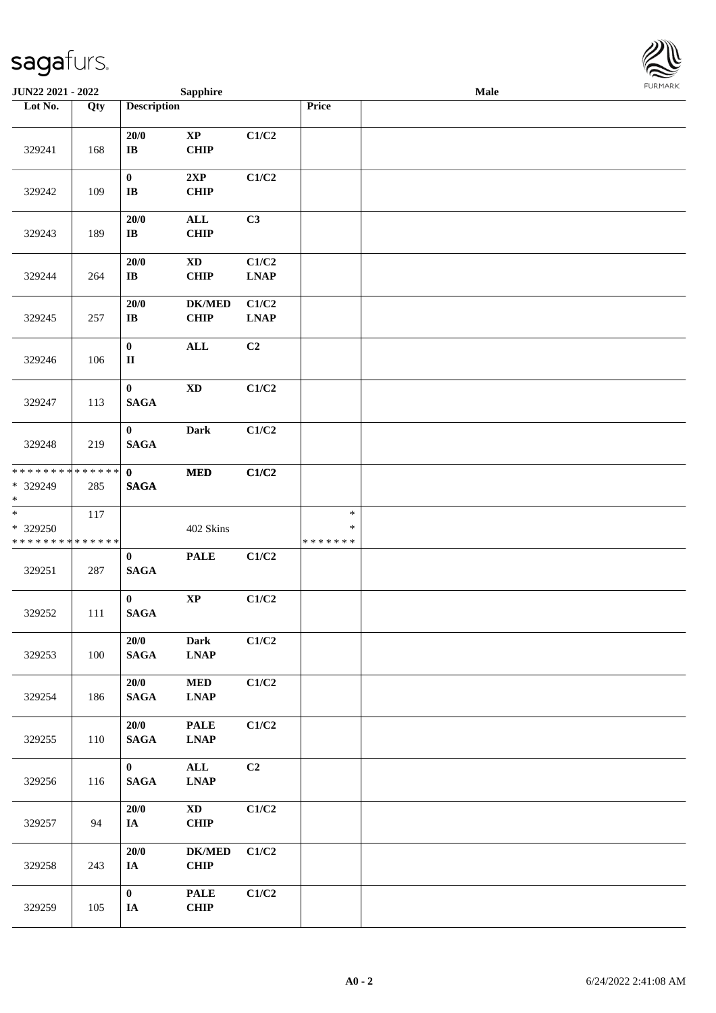

| <b>JUN22 2021 - 2022</b>                                              |     |                                     | <b>Sapphire</b>                             |                                       |                                   | <b>Male</b> |  |
|-----------------------------------------------------------------------|-----|-------------------------------------|---------------------------------------------|---------------------------------------|-----------------------------------|-------------|--|
| Lot No.                                                               | Qty | <b>Description</b>                  |                                             |                                       | Price                             |             |  |
| 329241                                                                | 168 | 20/0<br>$\bf IB$                    | $\bold{XP}$<br><b>CHIP</b>                  | C1/C2                                 |                                   |             |  |
| 329242                                                                | 109 | $\pmb{0}$<br>$\mathbf{I}\mathbf{B}$ | 2XP<br><b>CHIP</b>                          | C1/C2                                 |                                   |             |  |
| 329243                                                                | 189 | $20/0$<br>$\bf IB$                  | $\mathbf{ALL}$<br><b>CHIP</b>               | C3                                    |                                   |             |  |
| 329244                                                                | 264 | 20/0<br>$\bf IB$                    | $\mathbf{X}\mathbf{D}$<br><b>CHIP</b>       | C1/C2<br>$\ensuremath{\text{L}N\!AP}$ |                                   |             |  |
| 329245                                                                | 257 | 20/0<br>$\bf IB$                    | <b>DK/MED</b><br><b>CHIP</b>                | C1/C2<br><b>LNAP</b>                  |                                   |             |  |
| 329246                                                                | 106 | $\pmb{0}$<br>$\rm II$               | <b>ALL</b>                                  | C2                                    |                                   |             |  |
| 329247                                                                | 113 | $\bf{0}$<br><b>SAGA</b>             | $\mathbf{X}\mathbf{D}$                      | C1/C2                                 |                                   |             |  |
| 329248                                                                | 219 | $\bf{0}$<br><b>SAGA</b>             | <b>Dark</b>                                 | C1/C2                                 |                                   |             |  |
| * * * * * * * * * * * * * *<br>* 329249<br>$*$                        | 285 | $\mathbf 0$<br><b>SAGA</b>          | $\bf MED$                                   | C1/C2                                 |                                   |             |  |
| $\overline{\phantom{a}^*}$<br>* 329250<br>* * * * * * * * * * * * * * | 117 |                                     | 402 Skins                                   |                                       | $\ast$<br>$\ast$<br>* * * * * * * |             |  |
| 329251                                                                | 287 | $\bf{0}$<br><b>SAGA</b>             | <b>PALE</b>                                 | C1/C2                                 |                                   |             |  |
| 329252                                                                | 111 | $\bf{0}$<br><b>SAGA</b>             | $\mathbf{X}\mathbf{P}$                      | C1/C2                                 |                                   |             |  |
| 329253                                                                | 100 | 20/0<br><b>SAGA</b>                 | <b>Dark</b><br><b>LNAP</b>                  | C1/C2                                 |                                   |             |  |
| 329254                                                                | 186 | 20/0<br><b>SAGA</b>                 | $\bf MED$<br><b>LNAP</b>                    | C1/C2                                 |                                   |             |  |
| 329255                                                                | 110 | 20/0<br><b>SAGA</b>                 | <b>PALE</b><br>$\ensuremath{\text{L}N\!AP}$ | $\rm C1/C2$                           |                                   |             |  |
| 329256                                                                | 116 | $\mathbf{0}$<br>$\mathbf{SAGA}$     | $\mathbf{ALL}$<br><b>LNAP</b>               | C2                                    |                                   |             |  |
| 329257                                                                | 94  | $20/0$<br>IA                        | $\mathbf{X}\mathbf{D}$<br><b>CHIP</b>       | C1/C2                                 |                                   |             |  |
| 329258                                                                | 243 | 20/0<br>$I\!\!A$                    | <b>DK/MED</b><br><b>CHIP</b>                | C1/C2                                 |                                   |             |  |
| 329259                                                                | 105 | $\bf{0}$<br>$I\!\!A$                | <b>PALE</b><br>CHIP                         | C1/C2                                 |                                   |             |  |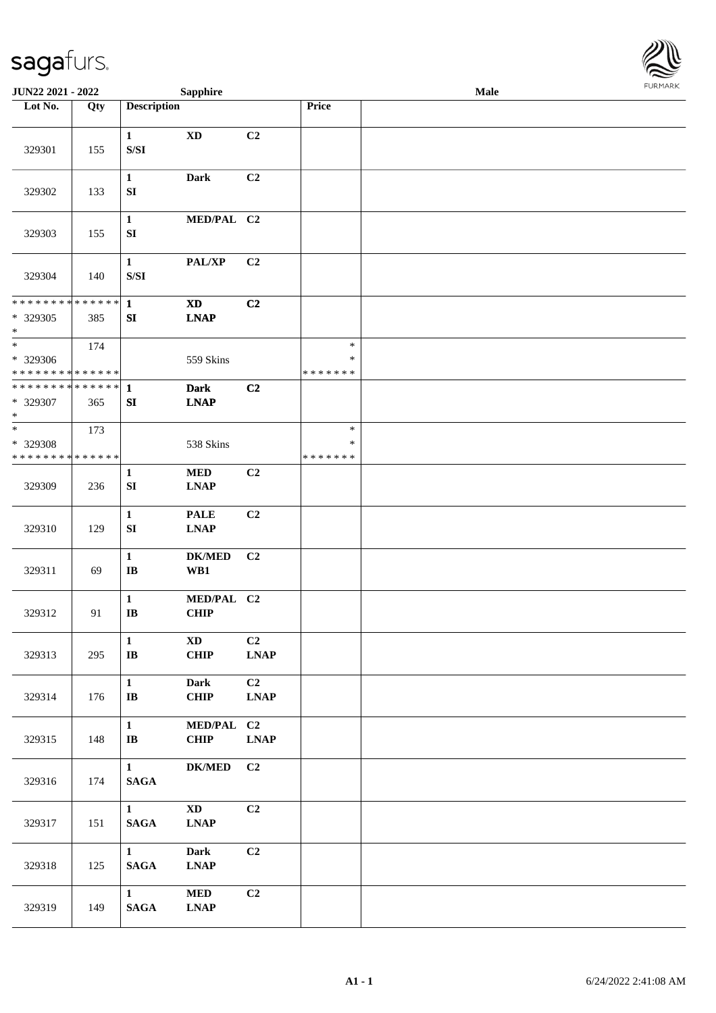

| <b>JUN22 2021 - 2022</b>                                       |     |                                                                                                        | <b>Sapphire</b>                       |                                    |                                   | Male |  |
|----------------------------------------------------------------|-----|--------------------------------------------------------------------------------------------------------|---------------------------------------|------------------------------------|-----------------------------------|------|--|
| Lot No.                                                        | Qty | <b>Description</b>                                                                                     |                                       |                                    | Price                             |      |  |
| 329301                                                         | 155 | $\mathbf{1}$<br>$\ensuremath{\mathrm{S}}\xspace/\ensuremath{\mathrm{S}}\xspace\ensuremath{\mathrm{I}}$ | <b>XD</b>                             | C2                                 |                                   |      |  |
| 329302                                                         | 133 | $\mathbf{1}$<br>${\bf SI}$                                                                             | <b>Dark</b>                           | C2                                 |                                   |      |  |
| 329303                                                         | 155 | $\mathbf{1}$<br>${\bf SI}$                                                                             | MED/PAL C2                            |                                    |                                   |      |  |
| 329304                                                         | 140 | $\mathbf{1}$<br>$\ensuremath{\mathrm{S}}\xspace/\ensuremath{\mathrm{S}}\xspace\ensuremath{\mathrm{I}}$ | PAL/XP                                | C2                                 |                                   |      |  |
| * * * * * * * * <mark>* * * * * *</mark><br>* 329305<br>$\ast$ | 385 | $\mathbf{1}$<br>SI                                                                                     | $\mathbf{X}\mathbf{D}$<br><b>LNAP</b> | C2                                 |                                   |      |  |
| $*$<br>* 329306<br>* * * * * * * * <mark>* * * * * * *</mark>  | 174 |                                                                                                        | 559 Skins                             |                                    | $\ast$<br>$\ast$<br>* * * * * * * |      |  |
| ******** <mark>******</mark><br>* 329307<br>$\ast$             | 365 | $\mathbf{1}$<br>SI                                                                                     | <b>Dark</b><br><b>LNAP</b>            | C <sub>2</sub>                     |                                   |      |  |
| $*$<br>* 329308<br>* * * * * * * * * * * * * *                 | 173 |                                                                                                        | 538 Skins                             |                                    | $\ast$<br>$\ast$<br>* * * * * * * |      |  |
| 329309                                                         | 236 | $\mathbf{1}$<br>SI                                                                                     | <b>MED</b><br><b>LNAP</b>             | C2                                 |                                   |      |  |
| 329310                                                         | 129 | $\mathbf{1}$<br>SI                                                                                     | <b>PALE</b><br><b>LNAP</b>            | C2                                 |                                   |      |  |
| 329311                                                         | 69  | $\mathbf{1}$<br>$\bf{IB}$                                                                              | <b>DK/MED</b><br>WB1                  | C <sub>2</sub>                     |                                   |      |  |
| 329312                                                         | 91  | $\mathbf{1}$<br>$\mathbf{I}\mathbf{B}$                                                                 | MED/PAL C2<br><b>CHIP</b>             |                                    |                                   |      |  |
| 329313                                                         | 295 | $\mathbf{1}$<br>$\bf IB$                                                                               | $\mathbf{X}\mathbf{D}$<br>CHIP        | C <sub>2</sub><br><b>LNAP</b>      |                                   |      |  |
| 329314                                                         | 176 | $\mathbf{1}$<br>$\bf I\bf B$                                                                           | <b>Dark</b><br><b>CHIP</b>            | C2<br>$\ensuremath{\text{L}N\!AP}$ |                                   |      |  |
| 329315                                                         | 148 | $\mathbf{1}$<br>$\bf{IB}$                                                                              | MED/PAL C2<br><b>CHIP</b>             | <b>LNAP</b>                        |                                   |      |  |
| 329316                                                         | 174 | $\mathbf{1}$<br>$\mathbf{SAGA}$                                                                        | $\mathbf{DK}/\mathbf{MED}$            | C2                                 |                                   |      |  |
| 329317                                                         | 151 | $\mathbf{1}$<br>$\mathbf{SAGA}$                                                                        | $\mathbf{X}\mathbf{D}$<br><b>LNAP</b> | C2                                 |                                   |      |  |
| 329318                                                         | 125 | $\mathbf{1}$<br>$\mathbf{SAGA}$                                                                        | <b>Dark</b><br><b>LNAP</b>            | C <sub>2</sub>                     |                                   |      |  |
| 329319                                                         | 149 | $\mathbf{1}$<br>$\mathbf{SAGA}$                                                                        | <b>MED</b><br><b>LNAP</b>             | C2                                 |                                   |      |  |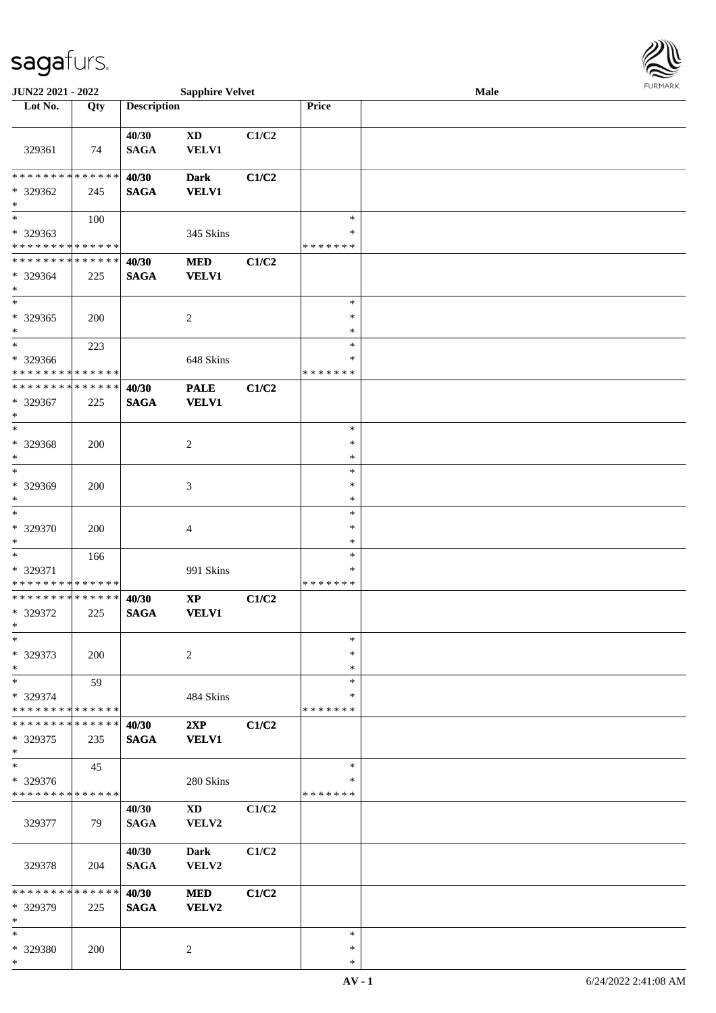\*

| JUN22 2021 - 2022                       |             |                      | <b>Sapphire Velvet</b>     |       |                    | Male |  |
|-----------------------------------------|-------------|----------------------|----------------------------|-------|--------------------|------|--|
| Lot No.                                 | Qty         | <b>Description</b>   |                            |       | Price              |      |  |
|                                         |             |                      |                            |       |                    |      |  |
|                                         |             | 40/30                | $\mathbf{X}\mathbf{D}$     | C1/C2 |                    |      |  |
| 329361                                  | 74          | <b>SAGA</b>          | VELV1                      |       |                    |      |  |
|                                         |             |                      |                            |       |                    |      |  |
| * * * * * * * *                         | * * * * * * | 40/30                | <b>Dark</b>                | C1/C2 |                    |      |  |
| * 329362                                | 245         | <b>SAGA</b>          | <b>VELV1</b>               |       |                    |      |  |
| $\ast$<br>$\overline{\phantom{a}^*}$    |             |                      |                            |       |                    |      |  |
|                                         | 100         |                      |                            |       | $\ast$             |      |  |
| * 329363<br>* * * * * * * * * * * * * * |             |                      | 345 Skins                  |       | ∗<br>* * * * * * * |      |  |
| * * * * * * * * * * * * * *             |             |                      |                            |       |                    |      |  |
| * 329364                                | 225         | 40/30<br><b>SAGA</b> | <b>MED</b><br><b>VELV1</b> | C1/C2 |                    |      |  |
| $\ast$                                  |             |                      |                            |       |                    |      |  |
| $\ast$                                  |             |                      |                            |       | $\ast$             |      |  |
| $*329365$                               | 200         |                      | $\overline{c}$             |       | $\ast$             |      |  |
| $\ast$                                  |             |                      |                            |       | *                  |      |  |
| $\ast$                                  | 223         |                      |                            |       | $\ast$             |      |  |
| * 329366                                |             |                      | 648 Skins                  |       | $\ast$             |      |  |
| * * * * * * * * * * * * * *             |             |                      |                            |       | * * * * * * *      |      |  |
| ********                                | * * * * * * | 40/30                | <b>PALE</b>                | C1/C2 |                    |      |  |
| * 329367                                | 225         | <b>SAGA</b>          | <b>VELV1</b>               |       |                    |      |  |
| $\ast$                                  |             |                      |                            |       |                    |      |  |
| $\ast$                                  |             |                      |                            |       | $\ast$             |      |  |
| * 329368                                | 200         |                      | $\overline{c}$             |       | $\ast$             |      |  |
| $\ast$                                  |             |                      |                            |       | $\ast$             |      |  |
| $\ast$                                  |             |                      |                            |       | $\ast$             |      |  |
| * 329369                                | 200         |                      | 3                          |       | $\ast$             |      |  |
| $\ast$                                  |             |                      |                            |       | $\ast$             |      |  |
| $\ast$                                  |             |                      |                            |       | $\ast$             |      |  |
| * 329370                                | 200         |                      | 4                          |       | $\ast$             |      |  |
| $\ast$                                  |             |                      |                            |       | $\ast$             |      |  |
| $\ast$                                  | 166         |                      |                            |       | $\ast$             |      |  |
| * 329371                                |             |                      | 991 Skins                  |       | *                  |      |  |
| * * * * * * * * * * * * * *             |             |                      |                            |       | *******            |      |  |
| **************                          |             | 40/30                | $\bold{XP}$                | C1/C2 |                    |      |  |
| * 329372                                | 225         | <b>SAGA</b>          | <b>VELV1</b>               |       |                    |      |  |
| $\ast$                                  |             |                      |                            |       |                    |      |  |
| $\ast$                                  |             |                      |                            |       | $\ast$             |      |  |
| * 329373                                | 200         |                      | $\sqrt{2}$                 |       | $\ast$             |      |  |
| $\ast$                                  |             |                      |                            |       | ∗                  |      |  |
| $\ast$                                  | 59          |                      |                            |       | $\ast$             |      |  |
| * 329374<br>* * * * * * * * * * * * * * |             |                      | 484 Skins                  |       | ∗                  |      |  |
| * * * * * * * *                         | * * * * * * |                      |                            |       | * * * * * * *      |      |  |
|                                         |             | 40/30                | 2XP                        | C1/C2 |                    |      |  |
| * 329375<br>$*$                         | 235         | <b>SAGA</b>          | <b>VELV1</b>               |       |                    |      |  |
| $\ast$                                  | 45          |                      |                            |       | $\ast$             |      |  |
| * 329376                                |             |                      | 280 Skins                  |       | *                  |      |  |
| * * * * * * * * * * * * * *             |             |                      |                            |       | * * * * * * *      |      |  |
|                                         |             | 40/30                | $\mathbf{X}\mathbf{D}$     | C1/C2 |                    |      |  |
| 329377                                  | 79          | <b>SAGA</b>          | VELV2                      |       |                    |      |  |
|                                         |             |                      |                            |       |                    |      |  |
|                                         |             | 40/30                | <b>Dark</b>                | C1/C2 |                    |      |  |
| 329378                                  | 204         | <b>SAGA</b>          | VELV2                      |       |                    |      |  |
|                                         |             |                      |                            |       |                    |      |  |
| * * * * * * * * * * * * * *             |             | 40/30                | <b>MED</b>                 | C1/C2 |                    |      |  |
| * 329379                                | 225         | <b>SAGA</b>          | VELV2                      |       |                    |      |  |
| $\ast$                                  |             |                      |                            |       |                    |      |  |
| $\ast$                                  |             |                      |                            |       | $\ast$             |      |  |
| * 329380                                | 200         |                      | $\overline{c}$             |       | $\ast$             |      |  |



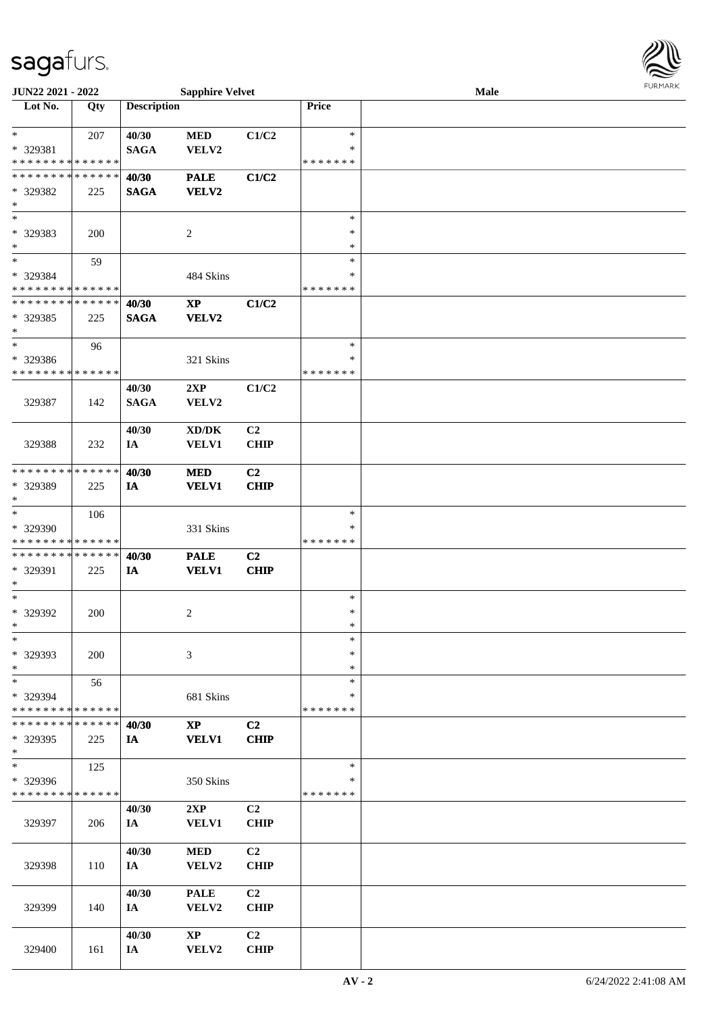

| JUN22 2021 - 2022             |     |                    | <b>Sapphire Velvet</b>              |                |               | <b>Male</b> |  |
|-------------------------------|-----|--------------------|-------------------------------------|----------------|---------------|-------------|--|
| Lot No.                       | Qty | <b>Description</b> |                                     |                | Price         |             |  |
|                               |     |                    |                                     |                |               |             |  |
| $*$                           | 207 | 40/30              | <b>MED</b>                          | C1/C2          | $\ast$        |             |  |
| * 329381                      |     | <b>SAGA</b>        | VELV2                               |                | ∗             |             |  |
| * * * * * * * * * * * * * *   |     |                    |                                     |                | * * * * * * * |             |  |
| * * * * * * * * * * * * * *   |     | 40/30              | <b>PALE</b>                         | C1/C2          |               |             |  |
| * 329382                      | 225 | <b>SAGA</b>        | VELV2                               |                |               |             |  |
| $\ast$                        |     |                    |                                     |                |               |             |  |
| $\ast$                        |     |                    |                                     |                | $\ast$        |             |  |
|                               |     |                    |                                     |                |               |             |  |
| * 329383                      | 200 |                    | 2                                   |                | $\ast$        |             |  |
| $*$                           |     |                    |                                     |                | *             |             |  |
| $\ast$                        | 59  |                    |                                     |                | $\ast$        |             |  |
| * 329384                      |     |                    | 484 Skins                           |                | ∗             |             |  |
| * * * * * * * * * * * * * *   |     |                    |                                     |                | * * * * * * * |             |  |
| * * * * * * * * * * * * * *   |     | 40/30              | $\mathbf{X}\mathbf{P}$              | C1/C2          |               |             |  |
| * 329385                      | 225 | <b>SAGA</b>        | VELV2                               |                |               |             |  |
| $\ast$                        |     |                    |                                     |                |               |             |  |
| $\ast$                        | 96  |                    |                                     |                | $\ast$        |             |  |
| * 329386                      |     |                    | 321 Skins                           |                | $\ast$        |             |  |
| * * * * * * * * * * * * * *   |     |                    |                                     |                | * * * * * * * |             |  |
|                               |     |                    |                                     |                |               |             |  |
|                               |     | 40/30              | 2XP                                 | C1/C2          |               |             |  |
| 329387                        | 142 | <b>SAGA</b>        | VELV2                               |                |               |             |  |
|                               |     |                    |                                     |                |               |             |  |
|                               |     | 40/30              | $\bold{X}\bold{D}/\bold{D}\bold{K}$ | C <sub>2</sub> |               |             |  |
| 329388                        | 232 | IA                 | <b>VELV1</b>                        | <b>CHIP</b>    |               |             |  |
|                               |     |                    |                                     |                |               |             |  |
| * * * * * * * * * * * * * *   |     | 40/30              | <b>MED</b>                          | C2             |               |             |  |
| * 329389                      | 225 | IA                 | <b>VELV1</b>                        | <b>CHIP</b>    |               |             |  |
| $*$                           |     |                    |                                     |                |               |             |  |
| $\ast$                        | 106 |                    |                                     |                | $\ast$        |             |  |
|                               |     |                    |                                     |                | *             |             |  |
| * 329390                      |     |                    | 331 Skins                           |                |               |             |  |
| * * * * * * * * * * * * * *   |     |                    |                                     |                | * * * * * * * |             |  |
| * * * * * * * * * * * * * *   |     | 40/30              | <b>PALE</b>                         | C2             |               |             |  |
| * 329391                      | 225 | IA                 | <b>VELV1</b>                        | <b>CHIP</b>    |               |             |  |
| $*$                           |     |                    |                                     |                |               |             |  |
| $*$                           |     |                    |                                     |                | $\ast$        |             |  |
| * 329392                      | 200 |                    | 2                                   |                | $\ast$        |             |  |
| $*$                           |     |                    |                                     |                | $\ast$        |             |  |
| $\ast$                        |     |                    |                                     |                | $\ast$        |             |  |
| * 329393                      | 200 |                    | 3                                   |                | ∗             |             |  |
| $*$                           |     |                    |                                     |                | ∗             |             |  |
| $*$                           | 56  |                    |                                     |                | $\ast$        |             |  |
|                               |     |                    |                                     |                | *             |             |  |
| * 329394                      |     |                    | 681 Skins                           |                |               |             |  |
| * * * * * * * * * * * * * *   |     |                    |                                     |                | * * * * * * * |             |  |
| * * * * * * * * * * * * * * * |     | 40/30              | $\mathbf{XP}$                       | C2             |               |             |  |
| * 329395                      | 225 | IA                 | <b>VELV1</b>                        | <b>CHIP</b>    |               |             |  |
| $*$                           |     |                    |                                     |                |               |             |  |
| $\ast$                        | 125 |                    |                                     |                | $\ast$        |             |  |
| * 329396                      |     |                    | 350 Skins                           |                | *             |             |  |
| * * * * * * * * * * * * * *   |     |                    |                                     |                | * * * * * * * |             |  |
|                               |     | 40/30              | 2XP                                 | C <sub>2</sub> |               |             |  |
| 329397                        | 206 | IA                 | VELV1                               | <b>CHIP</b>    |               |             |  |
|                               |     |                    |                                     |                |               |             |  |
|                               |     |                    |                                     |                |               |             |  |
|                               |     | 40/30              | <b>MED</b>                          | C <sub>2</sub> |               |             |  |
| 329398                        | 110 | IA                 | VELV2                               | <b>CHIP</b>    |               |             |  |
|                               |     |                    |                                     |                |               |             |  |
|                               |     | 40/30              | <b>PALE</b>                         | C <sub>2</sub> |               |             |  |
| 329399                        | 140 | IA                 | VELV2                               | <b>CHIP</b>    |               |             |  |
|                               |     |                    |                                     |                |               |             |  |
|                               |     | 40/30              | <b>XP</b>                           | C <sub>2</sub> |               |             |  |
| 329400                        | 161 | IA                 | VELV2                               | <b>CHIP</b>    |               |             |  |
|                               |     |                    |                                     |                |               |             |  |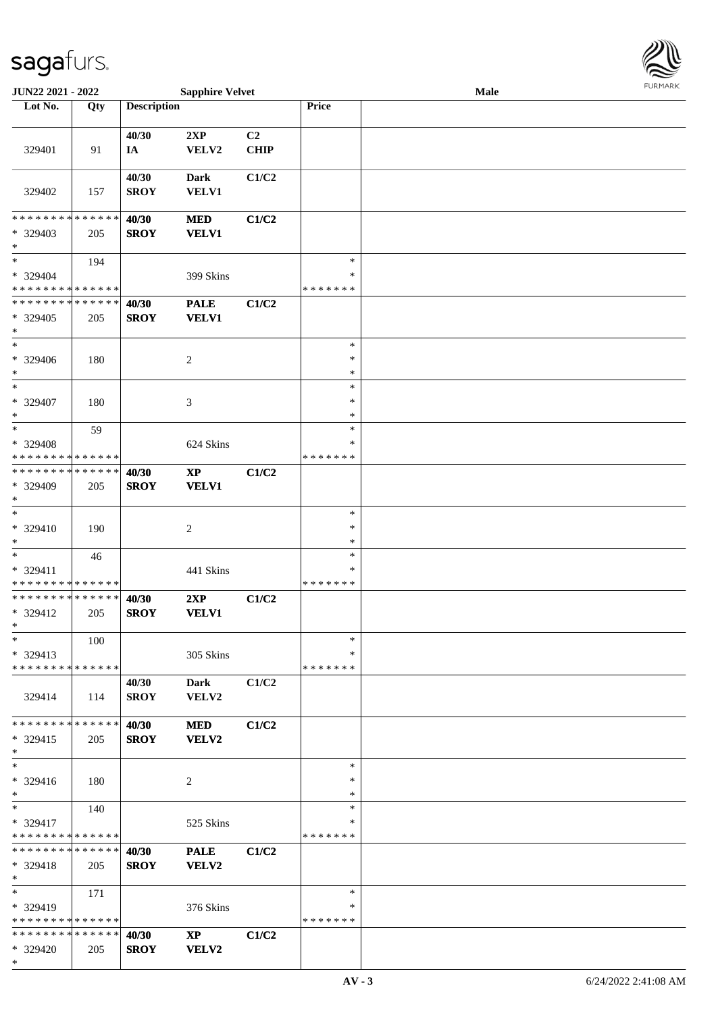\*



| JUN22 2021 - 2022                       |     |                    | <b>Sapphire Velvet</b> |             |         | <b>Male</b> |  |
|-----------------------------------------|-----|--------------------|------------------------|-------------|---------|-------------|--|
| Lot No.                                 | Qty | <b>Description</b> |                        |             | Price   |             |  |
|                                         |     |                    |                        |             |         |             |  |
|                                         |     | 40/30              | 2XP                    | C2          |         |             |  |
| 329401                                  | 91  | IA                 | VELV2                  | <b>CHIP</b> |         |             |  |
|                                         |     |                    |                        |             |         |             |  |
|                                         |     | 40/30              | <b>Dark</b>            | C1/C2       |         |             |  |
| 329402                                  | 157 | <b>SROY</b>        | <b>VELV1</b>           |             |         |             |  |
|                                         |     |                    |                        |             |         |             |  |
| * * * * * * * * * * * * * *             |     |                    |                        |             |         |             |  |
|                                         |     | 40/30              | <b>MED</b>             | C1/C2       |         |             |  |
| * 329403                                | 205 | <b>SROY</b>        | <b>VELV1</b>           |             |         |             |  |
| $\ast$                                  |     |                    |                        |             |         |             |  |
| $\ast$                                  | 194 |                    |                        |             | $\ast$  |             |  |
| $* 329404$                              |     |                    | 399 Skins              |             | $\ast$  |             |  |
| * * * * * * * * * * * * * *             |     |                    |                        |             | ******* |             |  |
| * * * * * * * * * * * * * *             |     | 40/30              | <b>PALE</b>            | C1/C2       |         |             |  |
| * 329405                                | 205 | <b>SROY</b>        | <b>VELV1</b>           |             |         |             |  |
| $\ast$                                  |     |                    |                        |             |         |             |  |
| $\ast$                                  |     |                    |                        |             | $\ast$  |             |  |
| $* 329406$                              | 180 |                    | $\overline{2}$         |             | $\ast$  |             |  |
| $*$                                     |     |                    |                        |             | $\ast$  |             |  |
| $\ast$                                  |     |                    |                        |             | $\ast$  |             |  |
| * 329407                                |     |                    |                        |             | $\ast$  |             |  |
| $\ast$                                  | 180 |                    | 3                      |             | $\ast$  |             |  |
| $*$                                     |     |                    |                        |             | $\ast$  |             |  |
|                                         | 59  |                    |                        |             |         |             |  |
| * 329408                                |     |                    | 624 Skins              |             | ∗       |             |  |
| * * * * * * * * * * * * * *             |     |                    |                        |             | ******* |             |  |
| * * * * * * * * * * * * * *             |     | 40/30              | $\mathbf{X}\mathbf{P}$ | C1/C2       |         |             |  |
| * 329409                                | 205 | <b>SROY</b>        | <b>VELV1</b>           |             |         |             |  |
| $*$                                     |     |                    |                        |             |         |             |  |
| $\ast$                                  |     |                    |                        |             | $\ast$  |             |  |
| * 329410                                | 190 |                    | $\sqrt{2}$             |             | $\ast$  |             |  |
| $*$                                     |     |                    |                        |             | $\ast$  |             |  |
| $\ast$                                  | 46  |                    |                        |             | $\ast$  |             |  |
| * 329411                                |     |                    | 441 Skins              |             | $\ast$  |             |  |
| * * * * * * * * * * * * * *             |     |                    |                        |             | ******* |             |  |
| * * * * * * * * * * * * * *             |     | 40/30              | 2XP                    | C1/C2       |         |             |  |
| * 329412                                | 205 |                    | <b>VELV1</b>           |             |         |             |  |
| $*$                                     |     | <b>SROY</b>        |                        |             |         |             |  |
|                                         |     |                    |                        |             |         |             |  |
| $*$                                     | 100 |                    |                        |             | $\ast$  |             |  |
| $* 329413$                              |     |                    | 305 Skins              |             | ∗       |             |  |
| * * * * * * * * * * * * * *             |     |                    |                        |             | ******* |             |  |
|                                         |     | 40/30              | Dark                   | C1/C2       |         |             |  |
| 329414                                  | 114 | <b>SROY</b>        | VELV2                  |             |         |             |  |
|                                         |     |                    |                        |             |         |             |  |
| * * * * * * * * * * * * * * *           |     | 40/30              | <b>MED</b>             | C1/C2       |         |             |  |
| $*329415$                               | 205 | <b>SROY</b>        | VELV2                  |             |         |             |  |
| $*$                                     |     |                    |                        |             |         |             |  |
| $\ast$                                  |     |                    |                        |             | $\ast$  |             |  |
| * 329416                                | 180 |                    | 2                      |             | $\ast$  |             |  |
| $*$                                     |     |                    |                        |             | $\ast$  |             |  |
| $*$                                     | 140 |                    |                        |             | $\ast$  |             |  |
|                                         |     |                    |                        |             | ∗       |             |  |
| * 329417<br>* * * * * * * * * * * * * * |     |                    | 525 Skins              |             | ******* |             |  |
|                                         |     |                    |                        |             |         |             |  |
| * * * * * * * * * * * * * * *           |     | 40/30              | <b>PALE</b>            | C1/C2       |         |             |  |
| $* 329418$                              | 205 | <b>SROY</b>        | VELV2                  |             |         |             |  |
| $*$                                     |     |                    |                        |             |         |             |  |
| $*$                                     | 171 |                    |                        |             | $\ast$  |             |  |
| $*329419$                               |     |                    | 376 Skins              |             | ∗       |             |  |
| * * * * * * * * * * * * * *             |     |                    |                        |             | ******* |             |  |
| * * * * * * * * * * * * * * *           |     | 40/30              | <b>XP</b>              | C1/C2       |         |             |  |
| * 329420                                | 205 | <b>SROY</b>        | VELV2                  |             |         |             |  |
|                                         |     |                    |                        |             |         |             |  |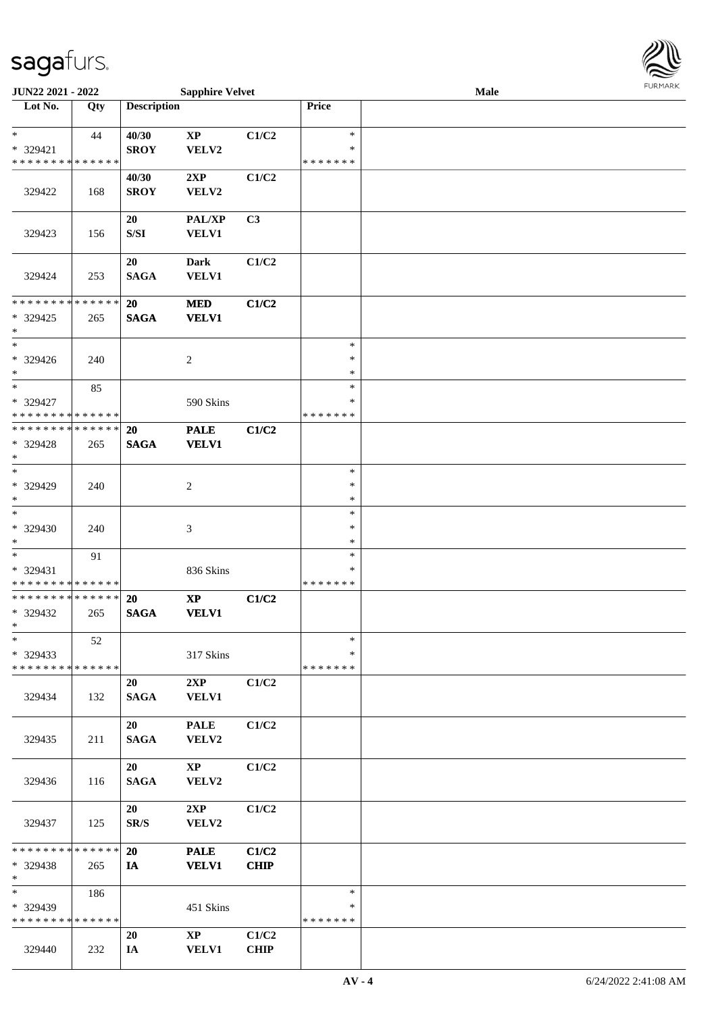

| JUN22 2021 - 2022                                   |     |                      | <b>Sapphire Velvet</b>          |                      |                                   | <b>Male</b> |  |
|-----------------------------------------------------|-----|----------------------|---------------------------------|----------------------|-----------------------------------|-------------|--|
| Lot No.                                             | Qty | <b>Description</b>   |                                 |                      | Price                             |             |  |
| $\ast$<br>* 329421<br>* * * * * * * * * * * * * *   | 44  | 40/30<br><b>SROY</b> | $\bold{XP}$<br>VELV2            | C1/C2                | $\ast$<br>∗<br>* * * * * * *      |             |  |
| 329422                                              | 168 | 40/30<br><b>SROY</b> | 2XP<br>VELV2                    | C1/C2                |                                   |             |  |
| 329423                                              | 156 | 20<br>${\bf S/SI}$   | <b>PAL/XP</b><br><b>VELV1</b>   | C <sub>3</sub>       |                                   |             |  |
| 329424                                              | 253 | 20<br><b>SAGA</b>    | <b>Dark</b><br><b>VELV1</b>     | C1/C2                |                                   |             |  |
| * * * * * * * * * * * * * *<br>* 329425<br>$\ast$   | 265 | 20<br><b>SAGA</b>    | <b>MED</b><br><b>VELV1</b>      | C1/C2                |                                   |             |  |
| $\ast$<br>* 329426<br>$*$                           | 240 |                      | $\overline{c}$                  |                      | $\ast$<br>$\ast$<br>$\ast$        |             |  |
| $*$<br>* 329427<br>* * * * * * * * * * * * * *      | 85  |                      | 590 Skins                       |                      | $\ast$<br>∗<br>* * * * * * *      |             |  |
| * * * * * * * * * * * * * * *<br>* 329428<br>$\ast$ | 265 | 20<br><b>SAGA</b>    | <b>PALE</b><br><b>VELV1</b>     | C1/C2                |                                   |             |  |
| $*$<br>* 329429<br>$*$                              | 240 |                      | $\overline{c}$                  |                      | $\ast$<br>$\ast$<br>$\ast$        |             |  |
| $\ast$<br>* 329430<br>$*$                           | 240 |                      | 3                               |                      | $\ast$<br>$\ast$<br>$\ast$        |             |  |
| $*$<br>* 329431<br>* * * * * * * * * * * * * *      | 91  |                      | 836 Skins                       |                      | $\ast$<br>$\ast$<br>* * * * * * * |             |  |
| * * * * * * * * * * * * * *<br>* 329432<br>$*$      | 265 | 20<br><b>SAGA</b>    | $\bold{XP}$<br><b>VELV1</b>     | C1/C2                |                                   |             |  |
| $\ast$<br>* 329433<br>* * * * * * * * * * * * * * * | 52  |                      | 317 Skins                       |                      | $\ast$<br>∗<br>* * * * * * *      |             |  |
| 329434                                              | 132 | 20<br><b>SAGA</b>    | 2XP<br>VELV1                    | C1/C2                |                                   |             |  |
| 329435                                              | 211 | 20<br><b>SAGA</b>    | <b>PALE</b><br>VELV2            | C1/C2                |                                   |             |  |
| 329436                                              | 116 | 20<br><b>SAGA</b>    | $\mathbf{X}\mathbf{P}$<br>VELV2 | C1/C2                |                                   |             |  |
| 329437                                              | 125 | 20<br>SR/S           | 2XP<br>VELV2                    | C1/C2                |                                   |             |  |
| * * * * * * * * * * * * * * *<br>* 329438<br>$*$    | 265 | <b>20</b><br>IA      | <b>PALE</b><br><b>VELV1</b>     | C1/C2<br><b>CHIP</b> |                                   |             |  |
| $*$ $*$<br>* 329439<br>* * * * * * * * * * * * * *  | 186 |                      | 451 Skins                       |                      | $\ast$<br>∗<br>* * * * * * *      |             |  |
| 329440                                              | 232 | 20<br>IA             | $\mathbf{XP}$<br><b>VELV1</b>   | C1/C2<br><b>CHIP</b> |                                   |             |  |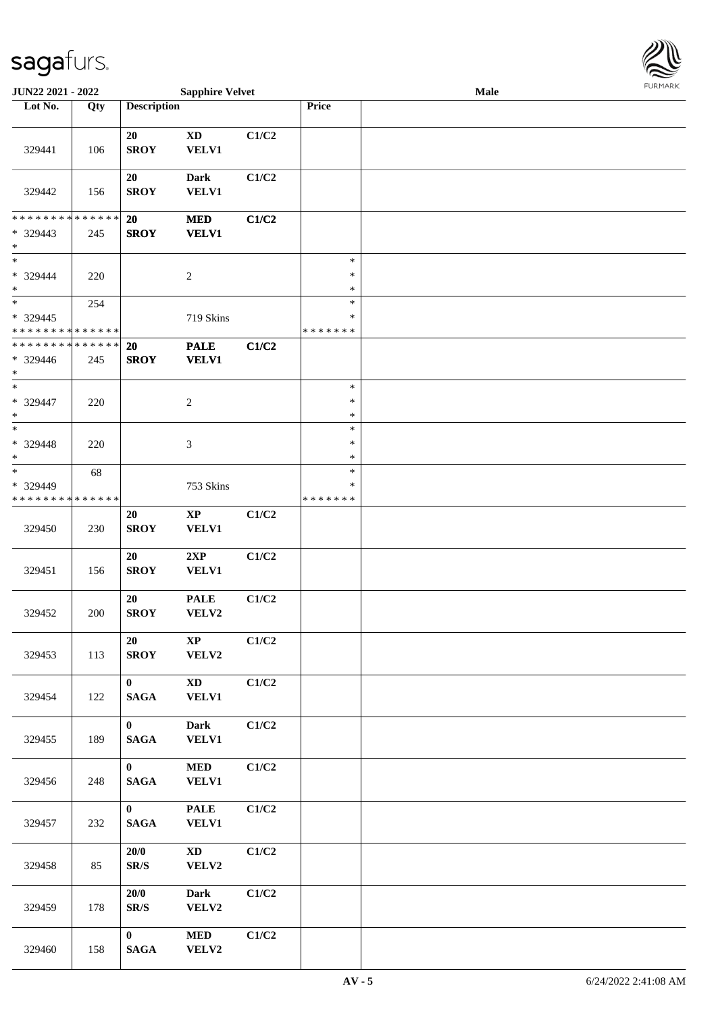

| <b>JUN22 2021 - 2022</b>                          |                   |                                 | <b>Sapphire Velvet</b>                 |       |                                   | Male |  |
|---------------------------------------------------|-------------------|---------------------------------|----------------------------------------|-------|-----------------------------------|------|--|
| Lot No.                                           | Qty               | <b>Description</b>              |                                        |       | Price                             |      |  |
| 329441                                            | 106               | 20<br><b>SROY</b>               | <b>XD</b><br><b>VELV1</b>              | C1/C2 |                                   |      |  |
| 329442                                            | 156               | <b>20</b><br><b>SROY</b>        | Dark<br><b>VELV1</b>                   | C1/C2 |                                   |      |  |
| * * * * * * * * * * * * * *<br>* 329443<br>$\ast$ | 245               | <b>20</b><br><b>SROY</b>        | <b>MED</b><br><b>VELV1</b>             | C1/C2 |                                   |      |  |
| $*$<br>* 329444<br>$\ast$                         | 220               |                                 | $\overline{2}$                         |       | $\ast$<br>$\ast$<br>$\ast$        |      |  |
| $\ast$<br>* 329445<br>* * * * * * * * * * * * * * | 254               |                                 | 719 Skins                              |       | $\ast$<br>$\ast$<br>* * * * * * * |      |  |
| * * * * * * * * * * * * * *<br>* 329446<br>$\ast$ | 245               | 20<br><b>SROY</b>               | <b>PALE</b><br><b>VELV1</b>            | C1/C2 |                                   |      |  |
| $*$<br>* 329447<br>$\ast$                         | 220               |                                 | 2                                      |       | $\ast$<br>$\ast$<br>$\ast$        |      |  |
| $*$<br>* 329448<br>$\ast$                         | 220               |                                 | $\mathfrak{Z}$                         |       | $\ast$<br>$\ast$<br>$\ast$        |      |  |
| $_{*}$<br>* 329449<br>* * * * * * * *             | 68<br>* * * * * * |                                 | 753 Skins                              |       | $\ast$<br>$\ast$<br>* * * * * * * |      |  |
| 329450                                            | 230               | 20<br><b>SROY</b>               | $\bold{XP}$<br>VELV1                   | C1/C2 |                                   |      |  |
| 329451                                            | 156               | 20<br><b>SROY</b>               | 2XP<br>VELV1                           | C1/C2 |                                   |      |  |
| 329452                                            | 200               | 20<br><b>SROY</b>               | <b>PALE</b><br>VELV2                   | C1/C2 |                                   |      |  |
| 329453                                            | 113               | 20<br><b>SROY</b>               | $\mathbf{X}\mathbf{P}$<br>VELV2        | C1/C2 |                                   |      |  |
| 329454                                            | 122               | $\mathbf{0}$<br><b>SAGA</b>     | $\mathbf{X}\mathbf{D}$<br><b>VELV1</b> | C1/C2 |                                   |      |  |
| 329455                                            | 189               | $\mathbf{0}$<br><b>SAGA</b>     | Dark<br><b>VELV1</b>                   | C1/C2 |                                   |      |  |
| 329456                                            | 248               | $\mathbf{0}$<br>$\mathbf{SAGA}$ | $\bf MED$<br><b>VELV1</b>              | C1/C2 |                                   |      |  |
| 329457                                            | 232               | $\mathbf{0}$<br>$\mathbf{SAGA}$ | <b>PALE</b><br><b>VELV1</b>            | C1/C2 |                                   |      |  |
| 329458                                            | 85                | 20/0<br>SR/S                    | $\mathbf{X}\mathbf{D}$<br>VELV2        | C1/C2 |                                   |      |  |
| 329459                                            | 178               | 20/0<br>SR/S                    | Dark<br>VELV2                          | C1/C2 |                                   |      |  |
| 329460                                            | 158               | $\mathbf{0}$<br><b>SAGA</b>     | $\bf MED$<br>VELV2                     | C1/C2 |                                   |      |  |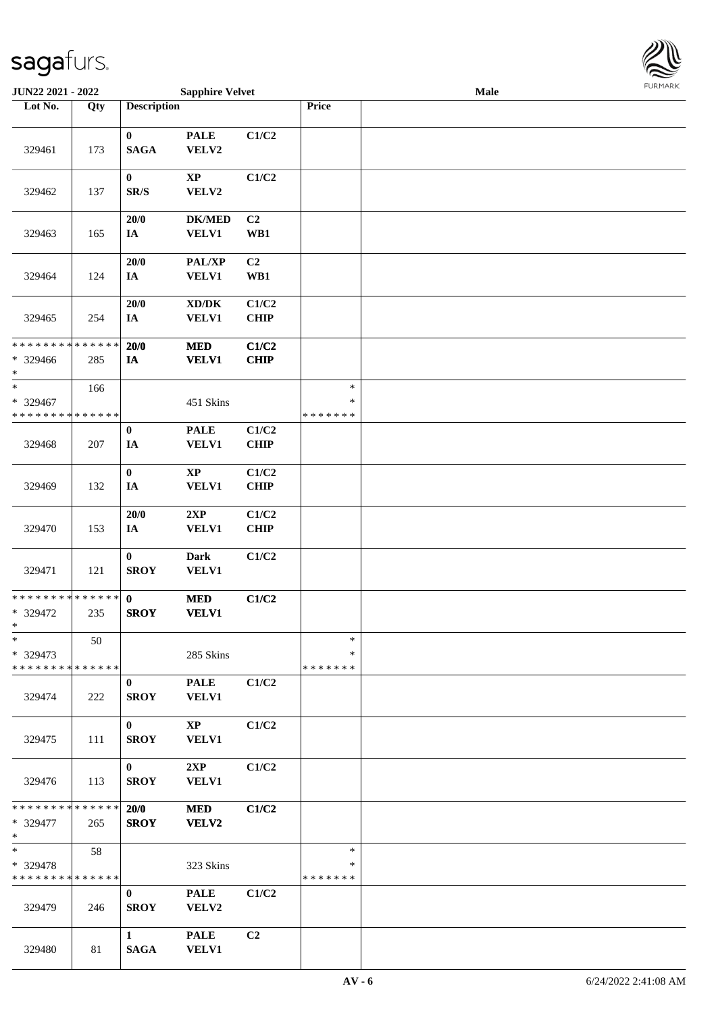

| JUN22 2021 - 2022                                 |     |                             | <b>Sapphire Velvet</b>                              |                       |                                   | Male |  |
|---------------------------------------------------|-----|-----------------------------|-----------------------------------------------------|-----------------------|-----------------------------------|------|--|
| Lot No.                                           | Qty | <b>Description</b>          |                                                     |                       | Price                             |      |  |
| 329461                                            | 173 | $\bf{0}$<br><b>SAGA</b>     | <b>PALE</b><br>VELV2                                | C1/C2                 |                                   |      |  |
| 329462                                            | 137 | $\bf{0}$<br>SR/S            | $\mathbf{XP}$<br>VELV2                              | C1/C2                 |                                   |      |  |
| 329463                                            | 165 | 20/0<br>IA                  | <b>DK/MED</b><br><b>VELV1</b>                       | C <sub>2</sub><br>WB1 |                                   |      |  |
| 329464                                            | 124 | 20/0<br>$I\!\!A$            | PAL/XP<br><b>VELV1</b>                              | C2<br>WB1             |                                   |      |  |
| 329465                                            | 254 | 20/0<br>$I\!\!A$            | $\bold{X}\bold{D}/\bold{D}\bold{K}$<br><b>VELV1</b> | C1/C2<br><b>CHIP</b>  |                                   |      |  |
| * * * * * * * * * * * * * *<br>* 329466<br>$\ast$ | 285 | 20/0<br>$I\!\!A$            | <b>MED</b><br><b>VELV1</b>                          | C1/C2<br><b>CHIP</b>  |                                   |      |  |
| $\ast$<br>* 329467<br>* * * * * * * * * * * * * * | 166 |                             | 451 Skins                                           |                       | $\ast$<br>$\ast$<br>* * * * * * * |      |  |
| 329468                                            | 207 | $\pmb{0}$<br>IA             | <b>PALE</b><br><b>VELV1</b>                         | C1/C2<br><b>CHIP</b>  |                                   |      |  |
| 329469                                            | 132 | $\pmb{0}$<br>IA             | $\mathbf{XP}$<br>VELV1                              | C1/C2<br><b>CHIP</b>  |                                   |      |  |
| 329470                                            | 153 | $20/0$<br>IA                | 2XP<br>VELV1                                        | C1/C2<br><b>CHIP</b>  |                                   |      |  |
| 329471                                            | 121 | $\bf{0}$<br><b>SROY</b>     | <b>Dark</b><br><b>VELV1</b>                         | C1/C2                 |                                   |      |  |
| * * * * * * * * * * * * * *<br>* 329472<br>$\ast$ | 235 | $\mathbf{0}$<br><b>SROY</b> | $\bf MED$<br><b>VELV1</b>                           | C1/C2                 |                                   |      |  |
| $\ast$<br>* 329473<br>* * * * * * * * * * * * * * | 50  |                             | 285 Skins                                           |                       | $\ast$<br>∗<br>* * * * * * *      |      |  |
| 329474                                            | 222 | $\bf{0}$<br><b>SROY</b>     | <b>PALE</b><br><b>VELV1</b>                         | C1/C2                 |                                   |      |  |
| 329475                                            | 111 | $\mathbf{0}$<br><b>SROY</b> | $\bold{XP}$<br><b>VELV1</b>                         | C1/C2                 |                                   |      |  |
| 329476                                            | 113 | $\mathbf{0}$<br><b>SROY</b> | 2XP<br><b>VELV1</b>                                 | C1/C2                 |                                   |      |  |
| * * * * * * * * * * * * * *<br>* 329477<br>$*$    | 265 | 20/0<br><b>SROY</b>         | <b>MED</b><br>VELV2                                 | C1/C2                 |                                   |      |  |
| $*$<br>* 329478<br>* * * * * * * * * * * * * *    | 58  |                             | 323 Skins                                           |                       | $\ast$<br>$\ast$<br>* * * * * * * |      |  |
| 329479                                            | 246 | $\bf{0}$<br><b>SROY</b>     | <b>PALE</b><br>VELV2                                | C1/C2                 |                                   |      |  |
| 329480                                            | 81  | $\mathbf{1}$<br><b>SAGA</b> | <b>PALE</b><br><b>VELV1</b>                         | C <sub>2</sub>        |                                   |      |  |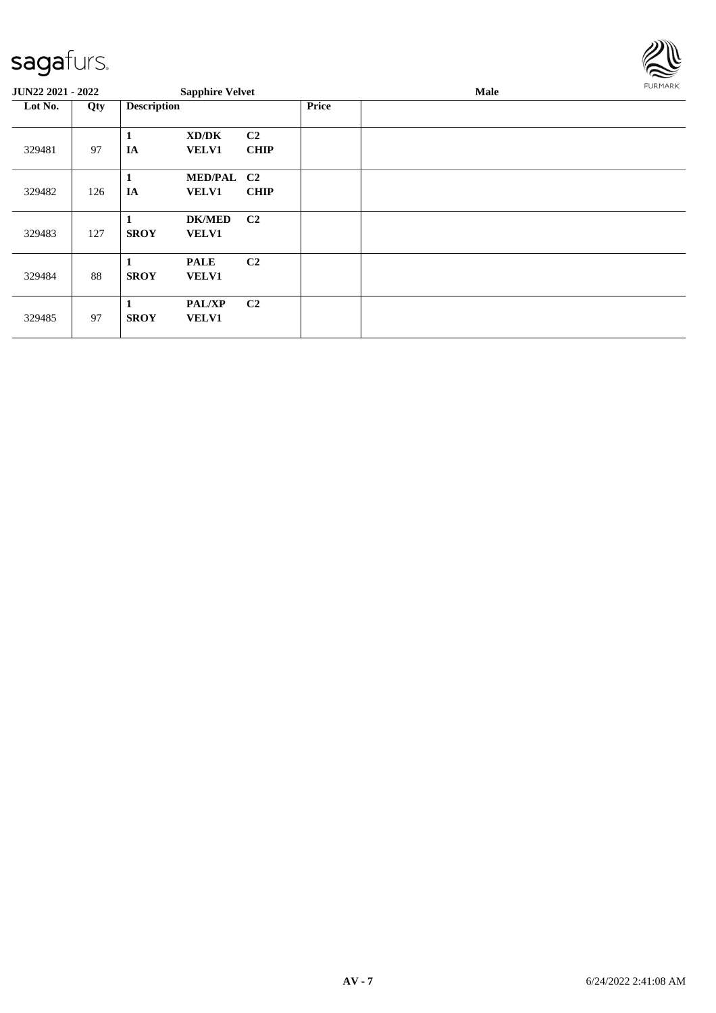

| <b>JUN22 2021 - 2022</b> |     |                    | <b>Sapphire Velvet</b>        |                   |              | Male | FURMARK |
|--------------------------|-----|--------------------|-------------------------------|-------------------|--------------|------|---------|
| Lot No.                  | Qty | <b>Description</b> |                               |                   | <b>Price</b> |      |         |
| 329481                   | 97  | 1<br>IA            | XD/DK<br><b>VELV1</b>         | C2<br><b>CHIP</b> |              |      |         |
| 329482                   | 126 | 1<br>IA            | MED/PAL C2<br><b>VELV1</b>    | <b>CHIP</b>       |              |      |         |
| 329483                   | 127 | <b>SROY</b>        | <b>DK/MED</b><br><b>VELV1</b> | C <sub>2</sub>    |              |      |         |
| 329484                   | 88  | 1<br><b>SROY</b>   | <b>PALE</b><br><b>VELV1</b>   | C <sub>2</sub>    |              |      |         |
| 329485                   | 97  | 1<br><b>SROY</b>   | <b>PAL/XP</b><br><b>VELV1</b> | C <sub>2</sub>    |              |      |         |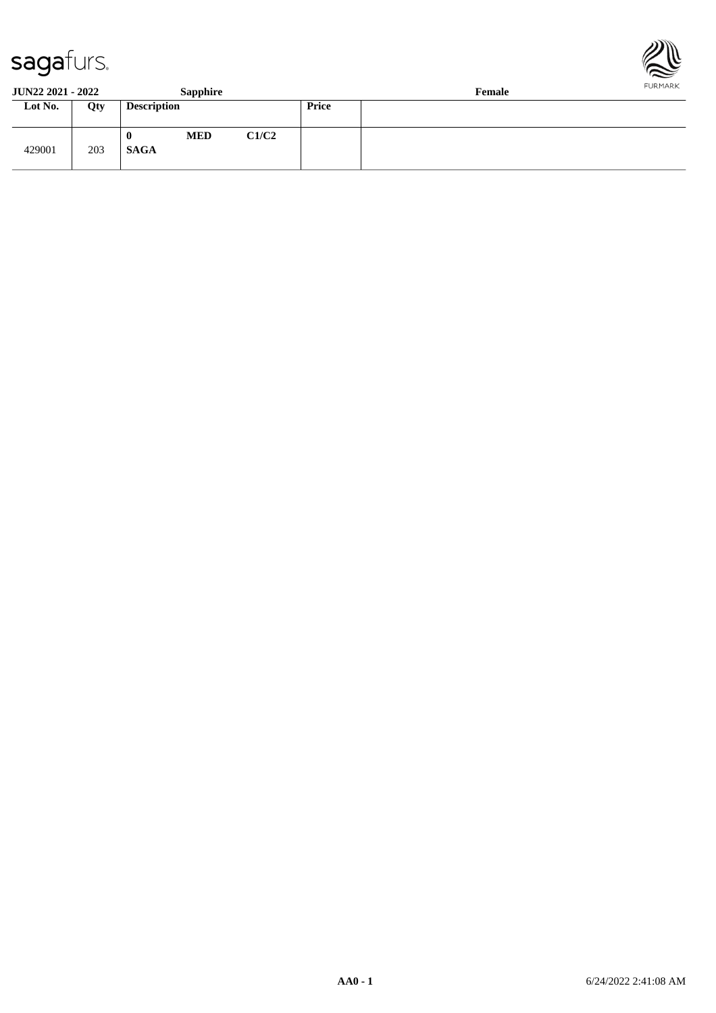



**JUN22 2021 - 2022 Sapphire Female**

| $0011222021$ 2022 |     |                            | $v$ uppma $v$ |       |              | $\sim$ villages $\sim$ |
|-------------------|-----|----------------------------|---------------|-------|--------------|------------------------|
| Lot No.           | Qty | <b>Description</b>         |               |       | <b>Price</b> |                        |
| 429001            | 203 | $\mathbf 0$<br><b>SAGA</b> | <b>MED</b>    | C1/C2 |              |                        |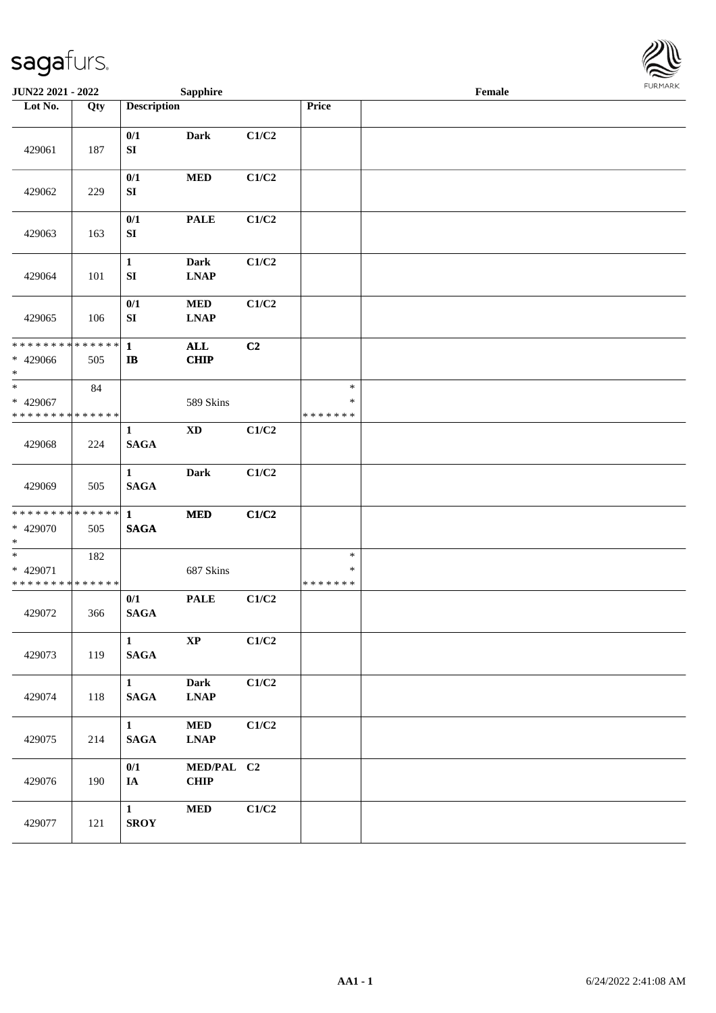

| <b>JUN22 2021 - 2022</b>                                            |     |                                  | <b>Sapphire</b>            |       |                                   | Female |  |
|---------------------------------------------------------------------|-----|----------------------------------|----------------------------|-------|-----------------------------------|--------|--|
| Lot No.                                                             | Qty | <b>Description</b>               |                            |       | Price                             |        |  |
| 429061                                                              | 187 | 0/1<br>${\bf SI}$                | <b>Dark</b>                | C1/C2 |                                   |        |  |
| 429062                                                              | 229 | 0/1<br>SI                        | $\bf MED$                  | C1/C2 |                                   |        |  |
| 429063                                                              | 163 | 0/1<br>${\bf S}{\bf I}$          | <b>PALE</b>                | C1/C2 |                                   |        |  |
| 429064                                                              | 101 | $\mathbf{1}$<br>${\bf S}{\bf I}$ | <b>Dark</b><br><b>LNAP</b> | C1/C2 |                                   |        |  |
| 429065                                                              | 106 | 0/1<br>SI                        | $\bf MED$<br><b>LNAP</b>   | C1/C2 |                                   |        |  |
| * * * * * * * * * * * * * * *<br>* 429066<br>$*$                    | 505 | $\mathbf{1}$<br>$\bf I\bf B$     | <b>ALL</b><br><b>CHIP</b>  | C2    |                                   |        |  |
| $\ast$<br>$* 429067$<br>* * * * * * * * * * * * * *                 | 84  |                                  | 589 Skins                  |       | $\ast$<br>$\ast$<br>* * * * * * * |        |  |
| 429068                                                              | 224 | 1<br><b>SAGA</b>                 | $\mathbf{X}\mathbf{D}$     | C1/C2 |                                   |        |  |
| 429069                                                              | 505 | $\mathbf{1}$<br><b>SAGA</b>      | <b>Dark</b>                | C1/C2 |                                   |        |  |
| * * * * * * * * * * * * * * *<br>* 429070<br>$*$                    | 505 | $\mathbf{1}$<br>$\mathbf{SAGA}$  | $\bf MED$                  | C1/C2 |                                   |        |  |
| $\overline{\phantom{0}}$<br>* 429071<br>* * * * * * * * * * * * * * | 182 |                                  | 687 Skins                  |       | $\ast$<br>$\ast$<br>* * * * * * * |        |  |
| 429072                                                              | 366 | 0/1<br><b>SAGA</b>               | <b>PALE</b>                | C1/C2 |                                   |        |  |
| 429073                                                              | 119 | $\mathbf{1}$<br><b>SAGA</b>      | $\bold{XP}$                | C1/C2 |                                   |        |  |
| 429074                                                              | 118 | 1<br><b>SAGA</b>                 | <b>Dark</b><br><b>LNAP</b> | C1/C2 |                                   |        |  |
| 429075                                                              | 214 | $\mathbf{1}$<br><b>SAGA</b>      | $\bf MED$<br><b>LNAP</b>   | C1/C2 |                                   |        |  |
| 429076                                                              | 190 | 0/1<br>IA                        | MED/PAL C2<br><b>CHIP</b>  |       |                                   |        |  |
| 429077                                                              | 121 | $\mathbf{1}$<br><b>SROY</b>      | $\bf MED$                  | C1/C2 |                                   |        |  |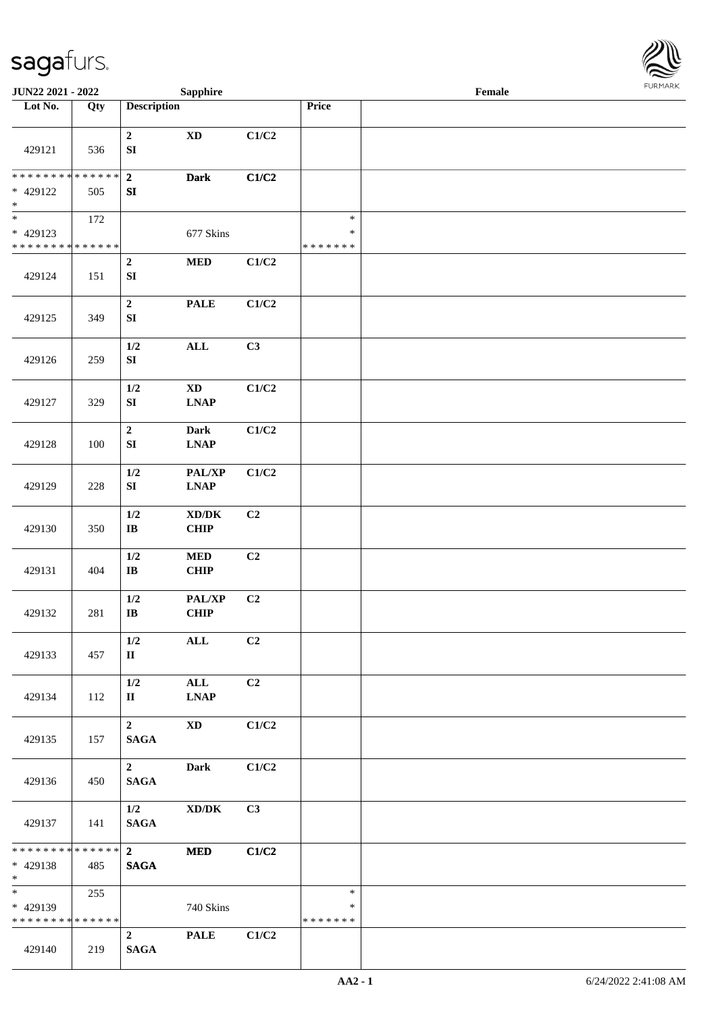

| JUN22 2021 - 2022                                                   |     |                                        | <b>Sapphire</b>                                        |                |                                   | Female |  |
|---------------------------------------------------------------------|-----|----------------------------------------|--------------------------------------------------------|----------------|-----------------------------------|--------|--|
| Lot No.                                                             | Qty | <b>Description</b>                     |                                                        |                | Price                             |        |  |
| 429121                                                              | 536 | $\boldsymbol{2}$<br>${\bf S}{\bf I}$   | $\mathbf{X}\mathbf{D}$                                 | C1/C2          |                                   |        |  |
| * * * * * * * * * * * * * *<br>* 429122<br>$\ast$                   | 505 | $\bf 2$<br>SI                          | <b>Dark</b>                                            | C1/C2          |                                   |        |  |
| $\overline{\phantom{0}}$<br>* 429123<br>* * * * * * * * * * * * * * | 172 |                                        | 677 Skins                                              |                | $\ast$<br>$\ast$<br>* * * * * * * |        |  |
| 429124                                                              | 151 | $\boldsymbol{2}$<br>${\bf S}{\bf I}$   | $\bf MED$                                              | C1/C2          |                                   |        |  |
| 429125                                                              | 349 | $\mathbf 2$<br>SI                      | <b>PALE</b>                                            | C1/C2          |                                   |        |  |
| 429126                                                              | 259 | 1/2<br>${\bf SI}$                      | <b>ALL</b>                                             | C3             |                                   |        |  |
| 429127                                                              | 329 | 1/2<br>${\bf SI}$                      | $\mathbf{X}\mathbf{D}$<br>$\ensuremath{\text{L}N\!AP}$ | C1/C2          |                                   |        |  |
| 429128                                                              | 100 | $\boldsymbol{2}$<br>SI                 | <b>Dark</b><br><b>LNAP</b>                             | C1/C2          |                                   |        |  |
| 429129                                                              | 228 | 1/2<br>${\bf SI}$                      | PAL/XP<br><b>LNAP</b>                                  | C1/C2          |                                   |        |  |
| 429130                                                              | 350 | 1/2<br>$\bf{IB}$                       | $\bold{X}\bold{D}/\bold{D}\bold{K}$<br>CHIP            | C <sub>2</sub> |                                   |        |  |
| 429131                                                              | 404 | 1/2<br>$\bf{IB}$                       | $\bf MED$<br><b>CHIP</b>                               | C <sub>2</sub> |                                   |        |  |
| 429132                                                              | 281 | 1/2<br>$\bf{IB}$                       | PAL/XP<br>CHIP                                         | C2             |                                   |        |  |
| 429133                                                              | 457 | 1/2<br>$\mathbf{I}$                    | $\mathbf{ALL}$                                         | C <sub>2</sub> |                                   |        |  |
| 429134                                                              | 112 | 1/2<br>П                               | $\mathbf{ALL}$<br><b>LNAP</b>                          | C2             |                                   |        |  |
| 429135                                                              | 157 | $\mathbf{2}$<br><b>SAGA</b>            | <b>XD</b>                                              | C1/C2          |                                   |        |  |
| 429136                                                              | 450 | $\overline{\mathbf{2}}$<br><b>SAGA</b> | <b>Dark</b>                                            | C1/C2          |                                   |        |  |
| 429137                                                              | 141 | 1/2<br><b>SAGA</b>                     | $\boldsymbol{\text{XD}/\text{DK}}$                     | C3             |                                   |        |  |
| ******** <mark>******</mark><br>* 429138<br>$*$                     | 485 | $\overline{\mathbf{2}}$<br><b>SAGA</b> | <b>MED</b>                                             | C1/C2          |                                   |        |  |
| * 429139<br>* * * * * * * * * * * * * *                             | 255 |                                        | 740 Skins                                              |                | $\ast$<br>∗<br>* * * * * * *      |        |  |
| 429140                                                              | 219 | $\overline{2}$<br><b>SAGA</b>          | <b>PALE</b>                                            | C1/C2          |                                   |        |  |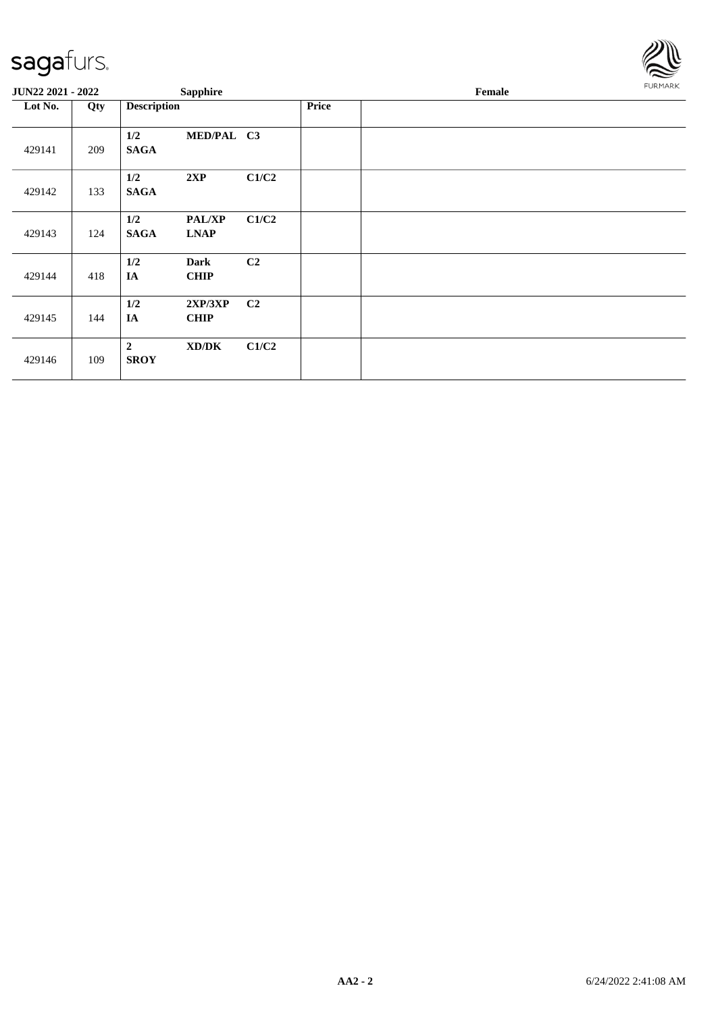

| JUN22 2021 - 2022 |     | <b>Sapphire</b>                                    |                |       | Female |  |  |
|-------------------|-----|----------------------------------------------------|----------------|-------|--------|--|--|
| Lot No.           | Qty | <b>Description</b>                                 |                | Price |        |  |  |
| 429141            | 209 | 1/2<br><b>SAGA</b>                                 | MED/PAL C3     |       |        |  |  |
| 429142            | 133 | 1/2<br>2XP<br><b>SAGA</b>                          | C1/C2          |       |        |  |  |
| 429143            | 124 | 1/2<br><b>PAL/XP</b><br><b>SAGA</b><br><b>LNAP</b> | C1/C2          |       |        |  |  |
| 429144            | 418 | 1/2<br><b>Dark</b><br>IA<br><b>CHIP</b>            | C2             |       |        |  |  |
| 429145            | 144 | 1/2<br>2XP/3XP<br>IA<br><b>CHIP</b>                | C <sub>2</sub> |       |        |  |  |
| 429146            | 109 | $\boldsymbol{2}$<br>XD/DK<br><b>SROY</b>           | C1/C2          |       |        |  |  |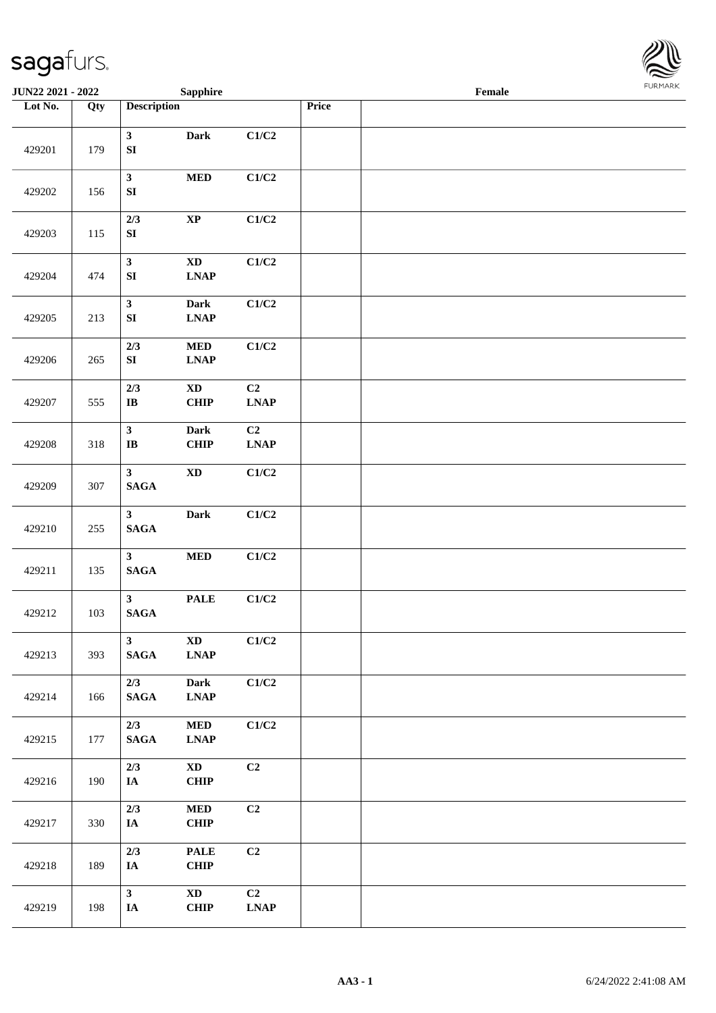

| <b>JUN22 2021 - 2022</b> |     |                                   | <b>Sapphire</b>                                               |                                                  |       | Female |  |
|--------------------------|-----|-----------------------------------|---------------------------------------------------------------|--------------------------------------------------|-------|--------|--|
| Lot No.                  | Qty | <b>Description</b>                |                                                               |                                                  | Price |        |  |
| 429201                   | 179 | $\mathbf{3}$<br>${\bf S}{\bf I}$  | Dark                                                          | C1/C2                                            |       |        |  |
| 429202                   | 156 | $\mathbf{3}$<br>${\bf S}{\bf I}$  | $\bf MED$                                                     | C1/C2                                            |       |        |  |
| 429203                   | 115 | 2/3<br>${\bf S}{\bf I}$           | $\bold{XP}$                                                   | C1/C2                                            |       |        |  |
| 429204                   | 474 | $\mathbf{3}$<br>${\bf S}{\bf I}$  | $\mathbf{X}\mathbf{D}$<br><b>LNAP</b>                         | C1/C2                                            |       |        |  |
| 429205                   | 213 | $\mathbf{3}$<br>${\bf S}{\bf I}$  | Dark<br><b>LNAP</b>                                           | C1/C2                                            |       |        |  |
| 429206                   | 265 | 2/3<br>${\bf S}{\bf I}$           | <b>MED</b><br><b>LNAP</b>                                     | C1/C2                                            |       |        |  |
| 429207                   | 555 | 2/3<br>$\mathbf I\mathbf B$       | $\mathbf{X}\mathbf{D}$<br>CHIP                                | C2<br><b>LNAP</b>                                |       |        |  |
| 429208                   | 318 | $\mathbf{3}$<br>IB                | Dark<br>CHIP                                                  | C2<br>$\mathbf{L}\mathbf{N}\mathbf{A}\mathbf{P}$ |       |        |  |
| 429209                   | 307 | $\mathbf{3}$<br>$\mathbf{SAGA}$   | $\mathbf{X}\mathbf{D}$                                        | C1/C2                                            |       |        |  |
| 429210                   | 255 | 3 <sup>1</sup><br>$\mathbf{SAGA}$ | Dark                                                          | C1/C2                                            |       |        |  |
| 429211                   | 135 | $\mathbf{3}$<br>$\mathbf{SAGA}$   | $\bf MED$                                                     | C1/C2                                            |       |        |  |
| 429212                   | 103 | 3 <sup>1</sup><br>$\mathbf{SAGA}$ | <b>PALE</b>                                                   | C1/C2                                            |       |        |  |
| 429213                   | 393 | $\mathbf{3}$<br><b>SAGA</b>       | $\mathbf{X}\mathbf{D}$<br>$\ensuremath{\text{L}N\!AP}\xspace$ | C1/C2                                            |       |        |  |
| 429214                   | 166 | 2/3<br><b>SAGA</b>                | Dark<br><b>LNAP</b>                                           | C1/C2                                            |       |        |  |
| 429215                   | 177 | 2/3<br>$\mathbf{SAGA}$            | $\bf MED$<br><b>LNAP</b>                                      | C1/C2                                            |       |        |  |
| 429216                   | 190 | 2/3<br>IA                         | $\mathbf{X}\mathbf{D}$<br><b>CHIP</b>                         | C2                                               |       |        |  |
| 429217                   | 330 | $2/3$<br>IA                       | <b>MED</b><br><b>CHIP</b>                                     | C <sub>2</sub>                                   |       |        |  |
| 429218                   | 189 | 2/3<br>IA                         | <b>PALE</b><br><b>CHIP</b>                                    | C2                                               |       |        |  |
| 429219                   | 198 | $\mathbf{3}$<br>IA                | $\mathbf{X}\mathbf{D}$<br><b>CHIP</b>                         | C2<br><b>LNAP</b>                                |       |        |  |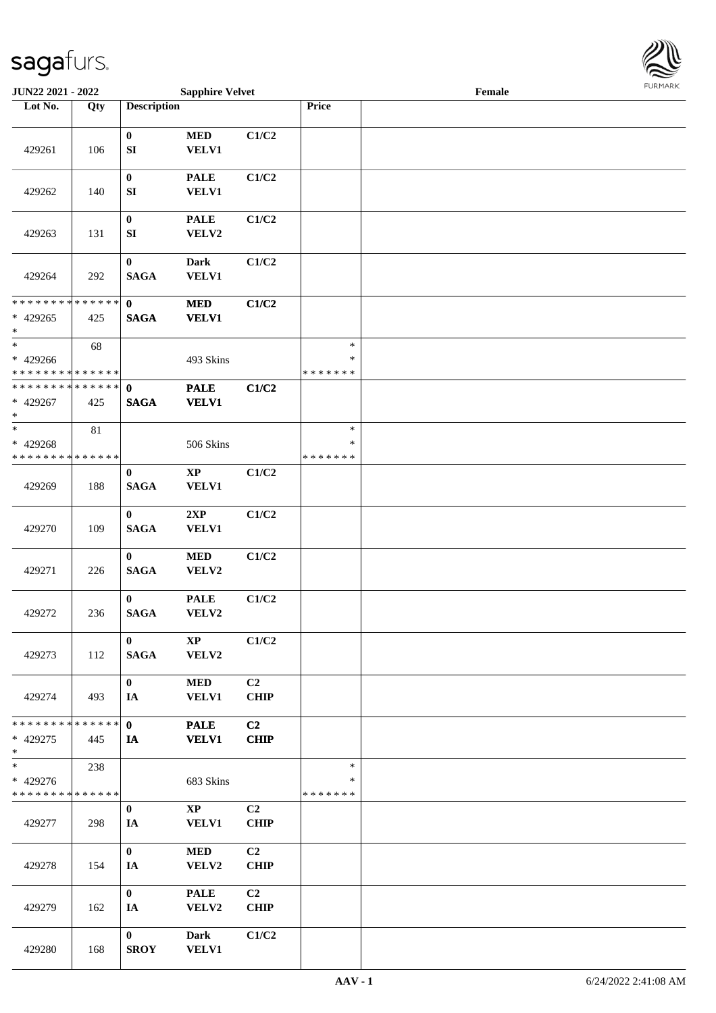

| <b>JUN22 2021 - 2022</b>                                     |     |                               | <b>Sapphire Velvet</b>                 |                               |                                   | Female |  |
|--------------------------------------------------------------|-----|-------------------------------|----------------------------------------|-------------------------------|-----------------------------------|--------|--|
| Lot No.                                                      | Qty | <b>Description</b>            |                                        |                               | Price                             |        |  |
| 429261                                                       | 106 | $\bf{0}$<br>SI                | $\bf MED$<br><b>VELV1</b>              | C1/C2                         |                                   |        |  |
| 429262                                                       | 140 | $\pmb{0}$<br>SI               | <b>PALE</b><br><b>VELV1</b>            | C1/C2                         |                                   |        |  |
| 429263                                                       | 131 | $\pmb{0}$<br>${\bf S}{\bf I}$ | <b>PALE</b><br>VELV2                   | C1/C2                         |                                   |        |  |
| 429264                                                       | 292 | $\pmb{0}$<br><b>SAGA</b>      | <b>Dark</b><br>VELV1                   | C1/C2                         |                                   |        |  |
| * * * * * * * * * * * * * *<br>$* 429265$<br>$\ast$          | 425 | $\mathbf 0$<br><b>SAGA</b>    | <b>MED</b><br><b>VELV1</b>             | C1/C2                         |                                   |        |  |
| $\ast$<br>* 429266<br>* * * * * * * * * * * * * *            | 68  |                               | 493 Skins                              |                               | $\ast$<br>$\ast$<br>* * * * * * * |        |  |
| * * * * * * * * * * * * * * *<br>* 429267<br>$\ast$          | 425 | $\mathbf 0$<br><b>SAGA</b>    | <b>PALE</b><br><b>VELV1</b>            | C1/C2                         |                                   |        |  |
| $*$<br>* 429268<br>* * * * * * * * * * * * * *               | 81  |                               | 506 Skins                              |                               | $\ast$<br>$\ast$<br>* * * * * * * |        |  |
| 429269                                                       | 188 | $\bf{0}$<br><b>SAGA</b>       | $\bold{XP}$<br>VELV1                   | C1/C2                         |                                   |        |  |
| 429270                                                       | 109 | $\bf{0}$<br><b>SAGA</b>       | 2XP<br><b>VELV1</b>                    | C1/C2                         |                                   |        |  |
| 429271                                                       | 226 | $\bf{0}$<br><b>SAGA</b>       | $\bf MED$<br>VELV2                     | C1/C2                         |                                   |        |  |
| 429272                                                       | 236 | $\mathbf{0}$<br><b>SAGA</b>   | <b>PALE</b><br>VELV2                   | C1/C2                         |                                   |        |  |
| 429273                                                       | 112 | $\bf{0}$<br><b>SAGA</b>       | $\mathbf{X}\mathbf{P}$<br>VELV2        | C1/C2                         |                                   |        |  |
| 429274                                                       | 493 | $\mathbf{0}$<br>IA            | <b>MED</b><br><b>VELV1</b>             | C2<br><b>CHIP</b>             |                                   |        |  |
| * * * * * * * * * * * * * * *<br>* 429275<br>$*$             | 445 | $\mathbf{0}$<br>IA            | <b>PALE</b><br><b>VELV1</b>            | C <sub>2</sub><br><b>CHIP</b> |                                   |        |  |
| $\overline{\ast}$<br>* 429276<br>* * * * * * * * * * * * * * | 238 |                               | 683 Skins                              |                               | $\ast$<br>*<br>* * * * * * *      |        |  |
| 429277                                                       | 298 | $\bf{0}$<br>IA                | $\mathbf{X}\mathbf{P}$<br><b>VELV1</b> | C2<br><b>CHIP</b>             |                                   |        |  |
| 429278                                                       | 154 | $\mathbf{0}$<br>IA            | <b>MED</b><br>VELV2                    | C2<br><b>CHIP</b>             |                                   |        |  |
| 429279                                                       | 162 | $\mathbf{0}$<br>IA            | <b>PALE</b><br>VELV2                   | C <sub>2</sub><br><b>CHIP</b> |                                   |        |  |
| 429280                                                       | 168 | $\bf{0}$<br><b>SROY</b>       | <b>Dark</b><br><b>VELV1</b>            | C1/C2                         |                                   |        |  |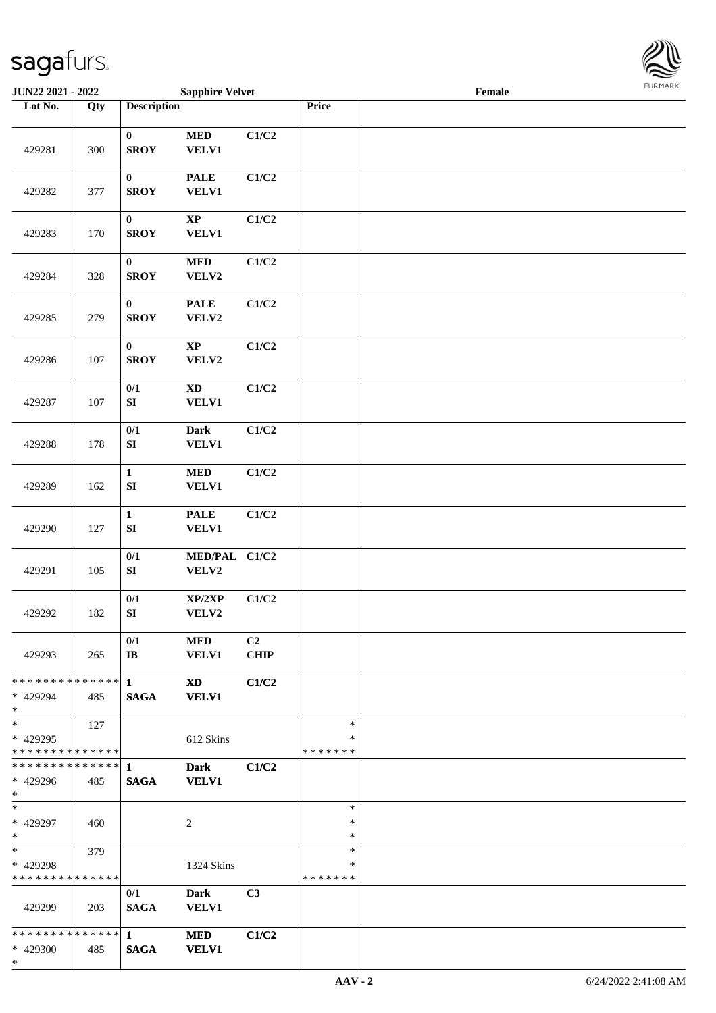

| JUN22 2021 - 2022                                 |                   |                                 | <b>Sapphire Velvet</b>          |                   |                                   | Female |  |
|---------------------------------------------------|-------------------|---------------------------------|---------------------------------|-------------------|-----------------------------------|--------|--|
| Lot No.                                           | $\overline{Q}$ ty | <b>Description</b>              |                                 |                   | Price                             |        |  |
| 429281                                            | 300               | $\boldsymbol{0}$<br><b>SROY</b> | $\bf MED$<br><b>VELV1</b>       | C1/C2             |                                   |        |  |
| 429282                                            | 377               | $\boldsymbol{0}$<br><b>SROY</b> | <b>PALE</b><br><b>VELV1</b>     | C1/C2             |                                   |        |  |
| 429283                                            | 170               | $\boldsymbol{0}$<br><b>SROY</b> | $\bold{XP}$<br><b>VELV1</b>     | C1/C2             |                                   |        |  |
| 429284                                            | 328               | $\pmb{0}$<br><b>SROY</b>        | $\bf MED$<br>VELV2              | C1/C2             |                                   |        |  |
| 429285                                            | 279               | $\boldsymbol{0}$<br><b>SROY</b> | <b>PALE</b><br>VELV2            | C1/C2             |                                   |        |  |
| 429286                                            | 107               | $\bf{0}$<br><b>SROY</b>         | $\mathbf{X}\mathbf{P}$<br>VELV2 | C1/C2             |                                   |        |  |
| 429287                                            | 107               | 0/1<br>${\bf S}{\bf I}$         | $\mathbf{X}\mathbf{D}$<br>VELV1 | C1/C2             |                                   |        |  |
| 429288                                            | 178               | 0/1<br>${\bf SI}$               | <b>Dark</b><br><b>VELV1</b>     | C1/C2             |                                   |        |  |
| 429289                                            | 162               | $\mathbf 1$<br>${\bf SI}$       | $\bf MED$<br><b>VELV1</b>       | C1/C2             |                                   |        |  |
| 429290                                            | 127               | $\mathbf 1$<br>${\bf S}{\bf I}$ | <b>PALE</b><br>VELV1            | C1/C2             |                                   |        |  |
| 429291                                            | 105               | $0/1$<br>${\bf SI}$             | MED/PAL C1/C2<br>VELV2          |                   |                                   |        |  |
| 429292                                            | 182               | $0/1$<br>${\bf S}{\bf I}$       | XP/2XP<br>VELV2                 | C1/C2             |                                   |        |  |
| 429293                                            | 265               | 0/1<br>$\mathbf{I}\mathbf{B}$   | <b>MED</b><br><b>VELV1</b>      | C2<br><b>CHIP</b> |                                   |        |  |
| * * * * * * * * * * * * * * *<br>* 429294<br>$*$  | 485               | $\mathbf{1}$<br><b>SAGA</b>     | <b>XD</b><br><b>VELV1</b>       | C1/C2             |                                   |        |  |
| $\ast$<br>* 429295<br>* * * * * * * * * * * * * * | 127               |                                 | 612 Skins                       |                   | $\ast$<br>∗<br>* * * * * * *      |        |  |
| **************<br>* 429296<br>$*$                 | 485               | 1<br><b>SAGA</b>                | <b>Dark</b><br><b>VELV1</b>     | C1/C2             |                                   |        |  |
| $*$<br>* 429297<br>$*$                            | 460               |                                 | 2                               |                   | $\ast$<br>$\ast$<br>$\ast$        |        |  |
| $*$<br>* 429298<br>* * * * * * * * * * * * * *    | 379               |                                 | 1324 Skins                      |                   | $\ast$<br>$\ast$<br>* * * * * * * |        |  |
| 429299                                            | 203               | 0/1<br><b>SAGA</b>              | <b>Dark</b><br>VELV1            | C3                |                                   |        |  |
| * * * * * * * * * * * * * * *<br>* 429300<br>$*$  | 485               | $\mathbf{1}$<br><b>SAGA</b>     | <b>MED</b><br><b>VELV1</b>      | C1/C2             |                                   |        |  |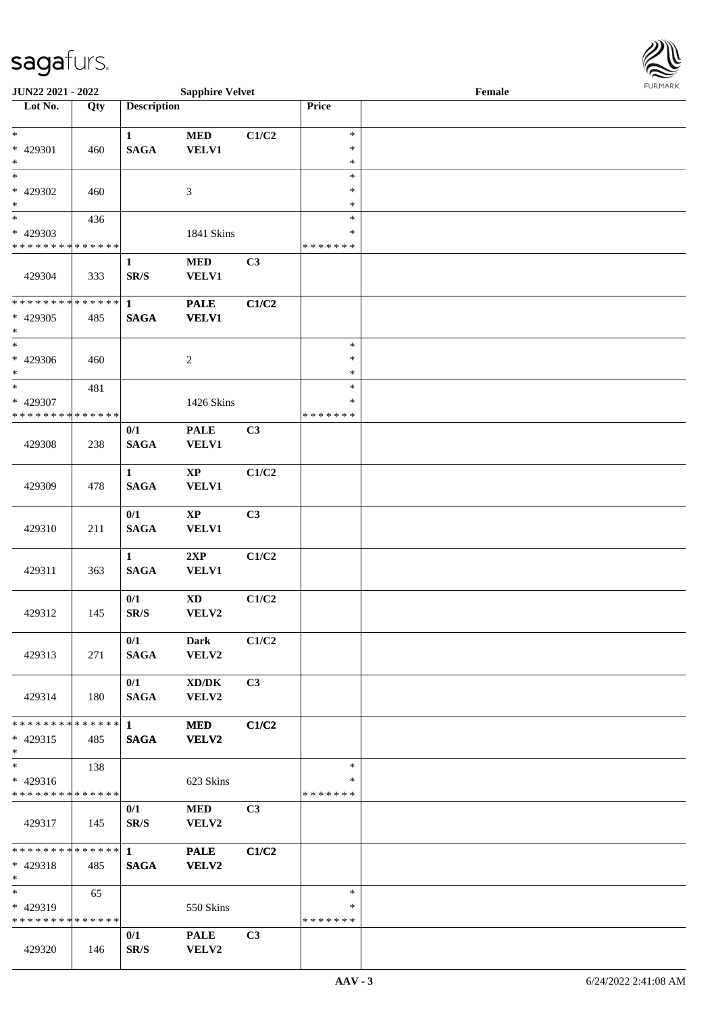| <b>JUN22 2021 - 2022</b>                   |     |                    | <b>Sapphire Velvet</b> |                |                         | $\ensuremath{\textnormal{\textbf{Female}}}$ | $1 \times 1$ |
|--------------------------------------------|-----|--------------------|------------------------|----------------|-------------------------|---------------------------------------------|--------------|
| Lot No.                                    | Qty | <b>Description</b> |                        |                | Price                   |                                             |              |
|                                            |     |                    |                        |                |                         |                                             |              |
| $\ast$                                     |     | $\mathbf{1}$       | $\bf MED$              | C1/C2          | $\ast$                  |                                             |              |
| * 429301                                   | 460 | <b>SAGA</b>        | <b>VELV1</b>           |                | $\ast$                  |                                             |              |
| $\ast$                                     |     |                    |                        |                | $\ast$                  |                                             |              |
| $\overline{\ast}$                          |     |                    |                        |                | $\ast$                  |                                             |              |
| * 429302                                   | 460 |                    | 3                      |                | $\ast$                  |                                             |              |
| $*$                                        |     |                    |                        |                | $\ast$                  |                                             |              |
|                                            | 436 |                    |                        |                | $\ast$                  |                                             |              |
| * 429303                                   |     |                    | 1841 Skins             |                | $\ast$                  |                                             |              |
| * * * * * * * * <mark>* * * * * * *</mark> |     |                    |                        |                | * * * * * * *           |                                             |              |
|                                            |     | $\mathbf{1}$       | <b>MED</b>             | C3             |                         |                                             |              |
| 429304                                     | 333 | SR/S               | <b>VELV1</b>           |                |                         |                                             |              |
|                                            |     |                    |                        |                |                         |                                             |              |
| * * * * * * * * * * * * * * *              |     | $\mathbf{1}$       | <b>PALE</b>            | C1/C2          |                         |                                             |              |
| * 429305                                   | 485 | <b>SAGA</b>        | <b>VELV1</b>           |                |                         |                                             |              |
| $\ast$                                     |     |                    |                        |                |                         |                                             |              |
| $\ddot{x}$                                 |     |                    |                        |                | $\ast$                  |                                             |              |
| * 429306                                   | 460 |                    | $\boldsymbol{2}$       |                | $\ast$                  |                                             |              |
| $\ast$<br>$*$                              |     |                    |                        |                | $\ast$                  |                                             |              |
|                                            | 481 |                    |                        |                | $\ast$                  |                                             |              |
| * 429307                                   |     |                    | 1426 Skins             |                | $\ast$<br>* * * * * * * |                                             |              |
| * * * * * * * * <mark>* * * * * *</mark>   |     |                    |                        |                |                         |                                             |              |
|                                            |     | 0/1                | <b>PALE</b>            | C3             |                         |                                             |              |
| 429308                                     | 238 | <b>SAGA</b>        | <b>VELV1</b>           |                |                         |                                             |              |
|                                            |     |                    |                        |                |                         |                                             |              |
|                                            |     | $\mathbf{1}$       | $\mathbf{X}\mathbf{P}$ | C1/C2          |                         |                                             |              |
| 429309                                     | 478 | <b>SAGA</b>        | <b>VELV1</b>           |                |                         |                                             |              |
|                                            |     |                    |                        |                |                         |                                             |              |
|                                            |     | 0/1                | XP                     | C3             |                         |                                             |              |
| 429310                                     | 211 | <b>SAGA</b>        | <b>VELV1</b>           |                |                         |                                             |              |
|                                            |     | $\mathbf{1}$       |                        | C1/C2          |                         |                                             |              |
|                                            |     | <b>SAGA</b>        | 2XP                    |                |                         |                                             |              |
| 429311                                     | 363 |                    | <b>VELV1</b>           |                |                         |                                             |              |
|                                            |     | 0/1                | $\mathbf{X}\mathbf{D}$ | C1/C2          |                         |                                             |              |
| 429312                                     | 145 | SR/S               | VELV2                  |                |                         |                                             |              |
|                                            |     |                    |                        |                |                         |                                             |              |
|                                            |     | 0/1                | Dark                   | C1/C2          |                         |                                             |              |
| 429313                                     | 271 | <b>SAGA</b>        | VELV2                  |                |                         |                                             |              |
|                                            |     |                    |                        |                |                         |                                             |              |
|                                            |     | 0/1                | XD/DK                  | C3             |                         |                                             |              |
| 429314                                     | 180 | <b>SAGA</b>        | <b>VELV2</b>           |                |                         |                                             |              |
|                                            |     |                    |                        |                |                         |                                             |              |
| * * * * * * * * <mark>* * * * * *</mark> 1 |     |                    | <b>MED</b>             | C1/C2          |                         |                                             |              |
| * 429315                                   | 485 | <b>SAGA</b>        | <b>VELV2</b>           |                |                         |                                             |              |
| $\ast$                                     |     |                    |                        |                |                         |                                             |              |
| $\overline{\ast}$                          | 138 |                    |                        |                | $\ast$                  |                                             |              |
| $* 429316$                                 |     |                    | 623 Skins              |                | ∗                       |                                             |              |
| * * * * * * * * <mark>* * * * * *</mark>   |     |                    |                        |                | * * * * * * *           |                                             |              |
|                                            |     | 0/1                | <b>MED</b>             | C <sub>3</sub> |                         |                                             |              |
| 429317                                     | 145 | SR/S               | VELV2                  |                |                         |                                             |              |
|                                            |     |                    |                        |                |                         |                                             |              |
|                                            |     |                    | <b>PALE</b>            | C1/C2          |                         |                                             |              |
| $* 429318$                                 | 485 | <b>SAGA</b>        | <b>VELV2</b>           |                |                         |                                             |              |
| $*$                                        |     |                    |                        |                |                         |                                             |              |
| $*$ $-$                                    | 65  |                    |                        |                | $\ast$                  |                                             |              |
| * 429319                                   |     |                    | 550 Skins              |                | ∗                       |                                             |              |
| * * * * * * * * <mark>* * * * * *</mark>   |     |                    |                        |                | * * * * * * *           |                                             |              |
|                                            |     | 0/1                | <b>PALE</b>            | C3             |                         |                                             |              |
| 429320                                     | 146 | SR/S               | <b>VELV2</b>           |                |                         |                                             |              |

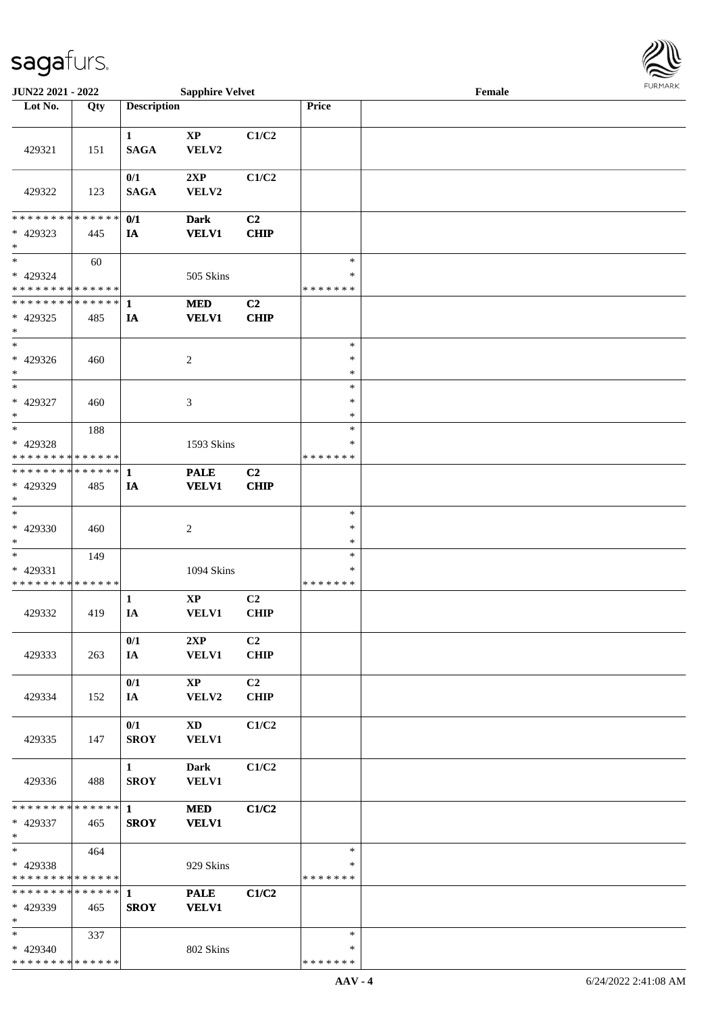

| JUN22 2021 - 2022             |     |                        | <b>Sapphire Velvet</b> |                |               | Female |  |
|-------------------------------|-----|------------------------|------------------------|----------------|---------------|--------|--|
| Lot No.                       | Qty | <b>Description</b>     |                        |                | Price         |        |  |
|                               |     |                        |                        |                |               |        |  |
|                               |     | $\mathbf{1}$           | $\bold{XP}$            | C1/C2          |               |        |  |
| 429321                        | 151 | <b>SAGA</b>            | VELV2                  |                |               |        |  |
|                               |     |                        |                        |                |               |        |  |
|                               |     | 0/1                    | 2XP                    | C1/C2          |               |        |  |
| 429322                        | 123 | <b>SAGA</b>            | VELV2                  |                |               |        |  |
|                               |     |                        |                        |                |               |        |  |
| * * * * * * * * * * * * * *   |     | 0/1                    | <b>Dark</b>            | C2             |               |        |  |
| * 429323                      | 445 | IA                     | <b>VELV1</b>           | <b>CHIP</b>    |               |        |  |
| $\ast$                        |     |                        |                        |                |               |        |  |
| $\ast$                        | 60  |                        |                        |                | $\ast$        |        |  |
| * 429324                      |     |                        | 505 Skins              |                | ∗             |        |  |
| * * * * * * * * * * * * * * * |     |                        |                        |                | * * * * * * * |        |  |
|                               |     |                        | <b>MED</b>             | C2             |               |        |  |
| * 429325                      | 485 | IA                     | <b>VELV1</b>           | <b>CHIP</b>    |               |        |  |
| $\ast$                        |     |                        |                        |                |               |        |  |
| $\ast$                        |     |                        |                        |                | $\ast$        |        |  |
| * 429326                      | 460 |                        | $\overline{c}$         |                | $\ast$        |        |  |
| $\ast$                        |     |                        |                        |                | $\ast$        |        |  |
| $\ast$                        |     |                        |                        |                | $\ast$        |        |  |
| * 429327                      | 460 |                        | 3                      |                | $\ast$        |        |  |
| $\ast$                        |     |                        |                        |                | $\ast$        |        |  |
| $\ast$                        | 188 |                        |                        |                | $\ast$        |        |  |
| * 429328                      |     |                        | 1593 Skins             |                | ∗             |        |  |
| * * * * * * * * * * * * * *   |     |                        |                        |                | * * * * * * * |        |  |
| * * * * * * * * * * * * * * * |     | 1                      | <b>PALE</b>            | C <sub>2</sub> |               |        |  |
| * 429329                      | 485 | IA                     | <b>VELV1</b>           | <b>CHIP</b>    |               |        |  |
| $\ast$                        |     |                        |                        |                |               |        |  |
| $\ast$                        |     |                        |                        |                | $\ast$        |        |  |
| $* 429330$                    | 460 |                        | $\boldsymbol{2}$       |                | $\ast$        |        |  |
| $\ast$                        |     |                        |                        |                | $\ast$        |        |  |
| $\ast$                        | 149 |                        |                        |                | $\ast$        |        |  |
| $* 429331$                    |     |                        | 1094 Skins             |                | *             |        |  |
| * * * * * * * * * * * * * *   |     |                        |                        |                | * * * * * * * |        |  |
|                               |     | $\mathbf{1}$           | $\bold{XP}$            | C2             |               |        |  |
| 429332                        | 419 | IA                     | VELV1                  | <b>CHIP</b>    |               |        |  |
|                               |     |                        |                        |                |               |        |  |
|                               |     | 0/1                    | 2XP                    | C2             |               |        |  |
| 429333                        | 263 | IA                     | <b>VELV1</b>           | <b>CHIP</b>    |               |        |  |
|                               |     |                        |                        |                |               |        |  |
|                               |     | 0/1                    | $\mathbf{X}\mathbf{P}$ | C <sub>2</sub> |               |        |  |
| 429334                        | 152 | IA                     | VELV2                  | <b>CHIP</b>    |               |        |  |
|                               |     |                        |                        |                |               |        |  |
|                               |     | 0/1                    | XD                     | C1/C2          |               |        |  |
| 429335                        | 147 | <b>SROY</b>            | VELV1                  |                |               |        |  |
|                               |     |                        |                        |                |               |        |  |
|                               |     | $1 \quad \blacksquare$ | <b>Dark</b>            | C1/C2          |               |        |  |
| 429336                        | 488 | <b>SROY</b>            | <b>VELV1</b>           |                |               |        |  |
|                               |     |                        |                        |                |               |        |  |
|                               |     |                        | <b>MED</b>             | C1/C2          |               |        |  |
| * 429337                      | 465 | <b>SROY</b>            | <b>VELV1</b>           |                |               |        |  |
| $*$                           |     |                        |                        |                |               |        |  |
| $*$                           | 464 |                        |                        |                | $\ast$        |        |  |
| * 429338                      |     |                        | 929 Skins              |                | $\ast$        |        |  |
| * * * * * * * * * * * * * * * |     |                        |                        |                | * * * * * * * |        |  |
| * * * * * * * * * * * * * * * |     | $\mathbf{1}$           | <b>PALE</b>            | C1/C2          |               |        |  |
| * 429339                      | 465 | <b>SROY</b>            | <b>VELV1</b>           |                |               |        |  |
| $*$                           |     |                        |                        |                |               |        |  |
| $*$                           | 337 |                        |                        |                | $\ast$        |        |  |
| * 429340                      |     |                        | 802 Skins              |                | ∗             |        |  |
| * * * * * * * * * * * * * *   |     |                        |                        |                | * * * * * * * |        |  |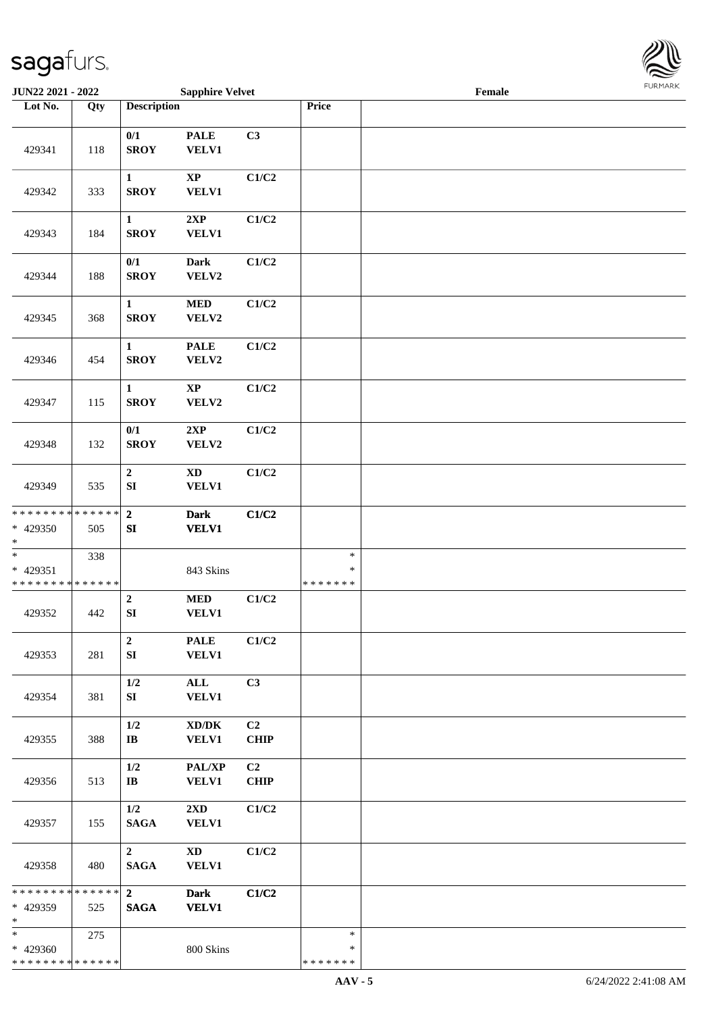

| JUN22 2021 - 2022                                   |     |                                    | <b>Sapphire Velvet</b>                              |                   |                                   | Female |  |
|-----------------------------------------------------|-----|------------------------------------|-----------------------------------------------------|-------------------|-----------------------------------|--------|--|
| Lot No.                                             | Qty | <b>Description</b>                 |                                                     |                   | Price                             |        |  |
| 429341                                              | 118 | $0/1$<br><b>SROY</b>               | <b>PALE</b><br><b>VELV1</b>                         | C3                |                                   |        |  |
| 429342                                              | 333 | $\mathbf{1}$<br><b>SROY</b>        | $\bold{XP}$<br><b>VELV1</b>                         | C1/C2             |                                   |        |  |
| 429343                                              | 184 | $\mathbf{1}$<br><b>SROY</b>        | 2XP<br><b>VELV1</b>                                 | C1/C2             |                                   |        |  |
| 429344                                              | 188 | $0/1$<br><b>SROY</b>               | <b>Dark</b><br>VELV2                                | C1/C2             |                                   |        |  |
| 429345                                              | 368 | $\mathbf{1}$<br><b>SROY</b>        | $\bf MED$<br>VELV2                                  | C1/C2             |                                   |        |  |
| 429346                                              | 454 | $\mathbf{1}$<br><b>SROY</b>        | <b>PALE</b><br>VELV2                                | C1/C2             |                                   |        |  |
| 429347                                              | 115 | $\mathbf{1}$<br><b>SROY</b>        | $\bold{XP}$<br>VELV2                                | C1/C2             |                                   |        |  |
| 429348                                              | 132 | 0/1<br><b>SROY</b>                 | 2XP<br>VELV2                                        | C1/C2             |                                   |        |  |
| 429349                                              | 535 | $\boldsymbol{2}$<br>${\bf SI}$     | <b>XD</b><br><b>VELV1</b>                           | C1/C2             |                                   |        |  |
| * * * * * * * * * * * * * *<br>* 429350<br>$\ast$   | 505 | $\overline{2}$<br>${\bf S}{\bf I}$ | <b>Dark</b><br><b>VELV1</b>                         | C1/C2             |                                   |        |  |
| $\ast$<br>$* 429351$<br>* * * * * * * * * * * * * * | 338 |                                    | 843 Skins                                           |                   | $\ast$<br>$\ast$<br>* * * * * * * |        |  |
| 429352                                              | 442 | $\mathbf 2$<br>SI                  | $\bf MED$<br><b>VELV1</b>                           | C1/C2             |                                   |        |  |
| 429353                                              | 281 | $\overline{2}$<br>${\bf S}{\bf I}$ | <b>PALE</b><br><b>VELV1</b>                         | C1/C2             |                                   |        |  |
| 429354                                              | 381 | 1/2<br>SI                          | ALL<br><b>VELV1</b>                                 | C3                |                                   |        |  |
| 429355                                              | 388 | 1/2<br>$\mathbf{I}\mathbf{B}$      | $\bold{X}\bold{D}/\bold{D}\bold{K}$<br><b>VELV1</b> | C2<br><b>CHIP</b> |                                   |        |  |
| 429356                                              | 513 | 1/2<br>$\mathbf{I}\mathbf{B}$      | PAL/XP<br><b>VELV1</b>                              | C2<br><b>CHIP</b> |                                   |        |  |
| 429357                                              | 155 | 1/2<br><b>SAGA</b>                 | $2\mathbf{X}\mathbf{D}$<br><b>VELV1</b>             | C1/C2             |                                   |        |  |
| 429358                                              | 480 | $2^{\circ}$<br>$\mathbf{SAGA}$     | $\mathbf{X}\mathbf{D}$<br><b>VELV1</b>              | C1/C2             |                                   |        |  |
| ******** <mark>******</mark><br>* 429359<br>$\ast$  | 525 | $2^{\circ}$<br><b>SAGA</b>         | <b>Dark</b><br><b>VELV1</b>                         | C1/C2             |                                   |        |  |
| $\ast$<br>* 429360<br>* * * * * * * * * * * * * *   | 275 |                                    | 800 Skins                                           |                   | $\ast$<br>∗<br>* * * * * * *      |        |  |
|                                                     |     |                                    |                                                     |                   |                                   |        |  |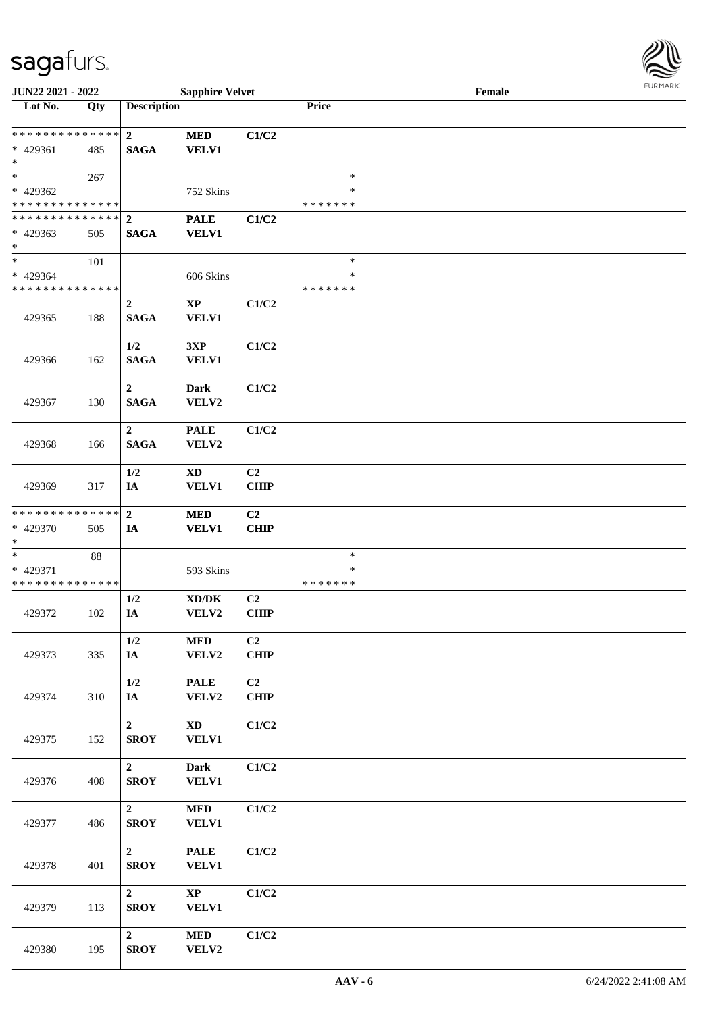

| <b>JUN22 2021 - 2022</b>                   |     |                    | <b>Sapphire Velvet</b>              |                |               | Female |  |
|--------------------------------------------|-----|--------------------|-------------------------------------|----------------|---------------|--------|--|
| Lot No.                                    | Qty | <b>Description</b> |                                     |                | Price         |        |  |
|                                            |     |                    |                                     |                |               |        |  |
| * * * * * * * * * * * * * * <mark>*</mark> |     | $\overline{2}$     | <b>MED</b>                          | C1/C2          |               |        |  |
| * 429361                                   | 485 | <b>SAGA</b>        | <b>VELV1</b>                        |                |               |        |  |
| $\ast$                                     |     |                    |                                     |                |               |        |  |
| $*$                                        | 267 |                    |                                     |                | $\ast$        |        |  |
| * 429362                                   |     |                    | 752 Skins                           |                | ∗             |        |  |
| * * * * * * * * * * * * * *                |     |                    |                                     |                | * * * * * * * |        |  |
| ******** <mark>******</mark>               |     | $\overline{2}$     | <b>PALE</b>                         | C1/C2          |               |        |  |
| $* 429363$                                 | 505 | <b>SAGA</b>        | <b>VELV1</b>                        |                |               |        |  |
| $\ast$                                     |     |                    |                                     |                |               |        |  |
| $\ast$                                     | 101 |                    |                                     |                | $\ast$        |        |  |
| * 429364                                   |     |                    | 606 Skins                           |                | ∗             |        |  |
| * * * * * * * * * * * * * *                |     |                    |                                     |                | * * * * * * * |        |  |
|                                            |     | $\overline{2}$     | $\bold{XP}$                         | C1/C2          |               |        |  |
| 429365                                     | 188 | <b>SAGA</b>        | VELV1                               |                |               |        |  |
|                                            |     |                    |                                     |                |               |        |  |
|                                            |     | 1/2                | 3XP                                 | C1/C2          |               |        |  |
| 429366                                     | 162 | <b>SAGA</b>        | <b>VELV1</b>                        |                |               |        |  |
|                                            |     |                    |                                     |                |               |        |  |
|                                            |     | $\overline{2}$     | <b>Dark</b>                         | C1/C2          |               |        |  |
| 429367                                     | 130 | <b>SAGA</b>        | VELV2                               |                |               |        |  |
|                                            |     |                    |                                     |                |               |        |  |
|                                            |     | $\overline{2}$     | <b>PALE</b>                         | C1/C2          |               |        |  |
| 429368                                     | 166 | <b>SAGA</b>        | VELV2                               |                |               |        |  |
|                                            |     |                    |                                     |                |               |        |  |
|                                            |     | 1/2                | <b>XD</b>                           | C2             |               |        |  |
| 429369                                     | 317 | IA                 | VELV1                               | <b>CHIP</b>    |               |        |  |
| * * * * * * * * * * * * * *                |     | $\overline{2}$     | <b>MED</b>                          | C <sub>2</sub> |               |        |  |
| * 429370                                   | 505 | IA                 | <b>VELV1</b>                        | <b>CHIP</b>    |               |        |  |
| $*$                                        |     |                    |                                     |                |               |        |  |
| $\ast$                                     | 88  |                    |                                     |                | $\ast$        |        |  |
| * 429371                                   |     |                    | 593 Skins                           |                | $\ast$        |        |  |
| * * * * * * * * * * * * * *                |     |                    |                                     |                | *******       |        |  |
|                                            |     | 1/2                | $\bold{X}\bold{D}/\bold{D}\bold{K}$ | C <sub>2</sub> |               |        |  |
| 429372                                     | 102 | IA                 | VELV2                               | <b>CHIP</b>    |               |        |  |
|                                            |     |                    |                                     |                |               |        |  |
|                                            |     | 1/2                | <b>MED</b>                          | C2             |               |        |  |
| 429373                                     | 335 | IA                 | VELV2                               | CHIP           |               |        |  |
|                                            |     |                    |                                     |                |               |        |  |
|                                            |     | 1/2                | <b>PALE</b>                         | C <sub>2</sub> |               |        |  |
| 429374                                     | 310 | IA                 | VELV2                               | CHIP           |               |        |  |
|                                            |     |                    |                                     |                |               |        |  |
|                                            |     | $\overline{2}$     | <b>XD</b>                           | C1/C2          |               |        |  |
| 429375                                     | 152 | <b>SROY</b>        | <b>VELV1</b>                        |                |               |        |  |
|                                            |     |                    |                                     |                |               |        |  |
|                                            |     | $\overline{2}$     | Dark                                | C1/C2          |               |        |  |
| 429376                                     | 408 | <b>SROY</b>        | <b>VELV1</b>                        |                |               |        |  |
|                                            |     |                    |                                     |                |               |        |  |
|                                            |     | $\overline{2}$     | $\bf MED$                           | C1/C2          |               |        |  |
| 429377                                     | 486 | <b>SROY</b>        | <b>VELV1</b>                        |                |               |        |  |
|                                            |     |                    |                                     |                |               |        |  |
|                                            |     | $\overline{2}$     | <b>PALE</b>                         | C1/C2          |               |        |  |
| 429378                                     | 401 | <b>SROY</b>        | <b>VELV1</b>                        |                |               |        |  |
|                                            |     |                    |                                     |                |               |        |  |
|                                            |     | $\overline{2}$     | $\bold{XP}$                         | C1/C2          |               |        |  |
| 429379                                     | 113 | <b>SROY</b>        | <b>VELV1</b>                        |                |               |        |  |
|                                            |     |                    |                                     |                |               |        |  |
|                                            |     | $\overline{2}$     | <b>MED</b>                          | C1/C2          |               |        |  |
| 429380                                     | 195 | <b>SROY</b>        | VELV2                               |                |               |        |  |